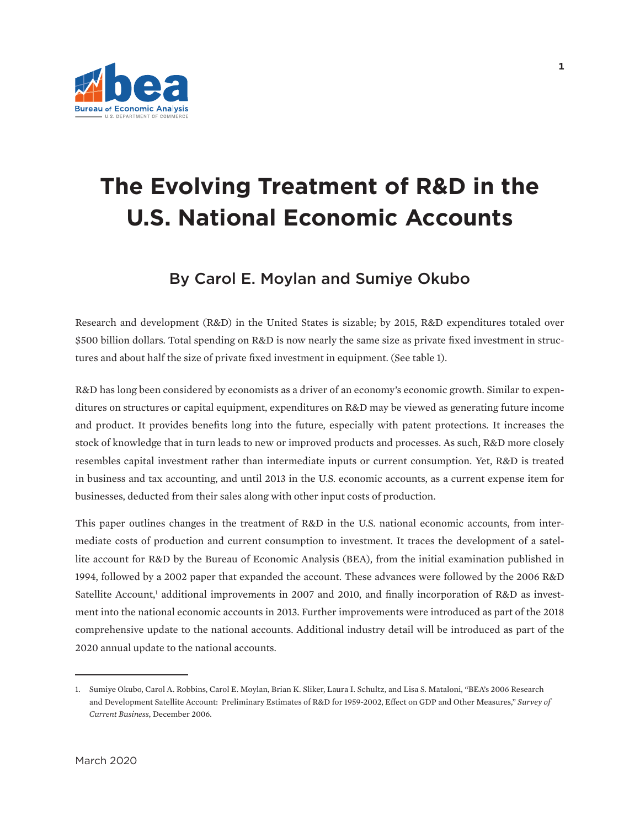

# **The Evolving Treatment of R&D in the U.S. National Economic Accounts**

# By Carol E. Moylan and Sumiye Okubo

Research and development (R&D) in the United States is sizable; by 2015, R&D expenditures totaled over \$500 billion dollars. Total spending on R&D is now nearly the same size as private fixed investment in structures and about half the size of private fixed investment in equipment. (See table 1).

R&D has long been considered by economists as a driver of an economy's economic growth. Similar to expenditures on structures or capital equipment, expenditures on R&D may be viewed as generating future income and product. It provides benefits long into the future, especially with patent protections. It increases the stock of knowledge that in turn leads to new or improved products and processes. As such, R&D more closely resembles capital investment rather than intermediate inputs or current consumption. Yet, R&D is treated in business and tax accounting, and until 2013 in the U.S. economic accounts, as a current expense item for businesses, deducted from their sales along with other input costs of production.

This paper outlines changes in the treatment of R&D in the U.S. national economic accounts, from intermediate costs of production and current consumption to investment. It traces the development of a satellite account for R&D by the Bureau of Economic Analysis (BEA), from the initial examination published in 1994, followed by a 2002 paper that expanded the account. These advances were followed by the 2006 R&D Satellite Account,<sup>1</sup> additional improvements in 2007 and 2010, and finally incorporation of R&D as investment into the national economic accounts in 2013. Further improvements were introduced as part of the 2018 comprehensive update to the national accounts. Additional industry detail will be introduced as part of the 2020 annual update to the national accounts.

<sup>1.</sup> Sumiye Okubo, Carol A. Robbins, Carol E. Moylan, Brian K. Sliker, Laura I. Schultz, and Lisa S. Mataloni, "BEA's 2006 Research and Development Satellite Account: Preliminary Estimates of R&D for 1959-2002, Effect on GDP and Other Measures," *Survey of Current Business*, December 2006.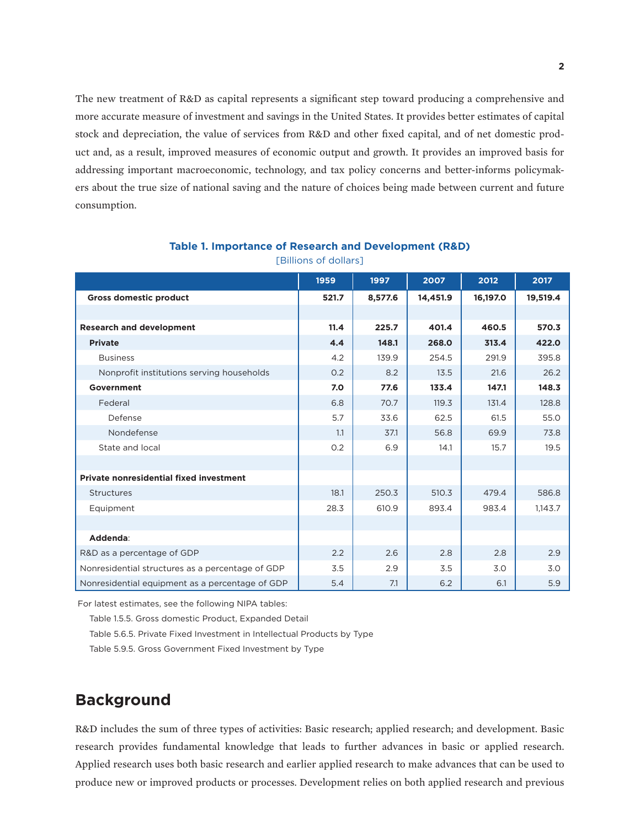The new treatment of R&D as capital represents a significant step toward producing a comprehensive and more accurate measure of investment and savings in the United States. It provides better estimates of capital stock and depreciation, the value of services from R&D and other fixed capital, and of net domestic product and, as a result, improved measures of economic output and growth. It provides an improved basis for addressing important macroeconomic, technology, and tax policy concerns and better-informs policymakers about the true size of national saving and the nature of choices being made between current and future consumption.

|                                                  | 1959  | 1997    | 2007     | 2012     | 2017     |
|--------------------------------------------------|-------|---------|----------|----------|----------|
| <b>Gross domestic product</b>                    | 521.7 | 8,577.6 | 14,451.9 | 16,197.0 | 19,519.4 |
|                                                  |       |         |          |          |          |
| <b>Research and development</b>                  | 11.4  | 225.7   | 401.4    | 460.5    | 570.3    |
| <b>Private</b>                                   | 4.4   | 148.1   | 268.0    | 313.4    | 422.0    |
| <b>Business</b>                                  | 4.2   | 139.9   | 254.5    | 291.9    | 395.8    |
| Nonprofit institutions serving households        | 0.2   | 8.2     | 13.5     | 21.6     | 26.2     |
| Government                                       | 7.0   | 77.6    | 133.4    | 147.1    | 148.3    |
| Federal                                          | 6.8   | 70.7    | 119.3    | 131.4    | 128.8    |
| Defense                                          | 5.7   | 33.6    | 62.5     | 61.5     | 55.0     |
| Nondefense                                       | 1.1   | 37.1    | 56.8     | 69.9     | 73.8     |
| State and local                                  | 0.2   | 6.9     | 14.1     | 15.7     | 19.5     |
|                                                  |       |         |          |          |          |
| Private nonresidential fixed investment          |       |         |          |          |          |
| Structures                                       | 18.1  | 250.3   | 510.3    | 479.4    | 586.8    |
| Equipment                                        | 28.3  | 610.9   | 893.4    | 983.4    | 1,143.7  |
|                                                  |       |         |          |          |          |
| Addenda:                                         |       |         |          |          |          |
| R&D as a percentage of GDP                       | 2.2   | 2.6     | 2.8      | 2.8      | 2.9      |
| Nonresidential structures as a percentage of GDP | 3.5   | 2.9     | 3.5      | 3.0      | 3.0      |
| Nonresidential equipment as a percentage of GDP  | 5.4   | 7.1     | 6.2      | 6.1      | 5.9      |

**Table 1. Importance of Research and Development (R&D)** [Billions of dollars]

For latest estimates, see the following NIPA tables:

Table 1.5.5. Gross domestic Product, Expanded Detail

Table 5.6.5. Private Fixed Investment in Intellectual Products by Type

Table 5.9.5. Gross Government Fixed Investment by Type

# **Background**

R&D includes the sum of three types of activities: Basic research; applied research; and development. Basic research provides fundamental knowledge that leads to further advances in basic or applied research. Applied research uses both basic research and earlier applied research to make advances that can be used to produce new or improved products or processes. Development relies on both applied research and previous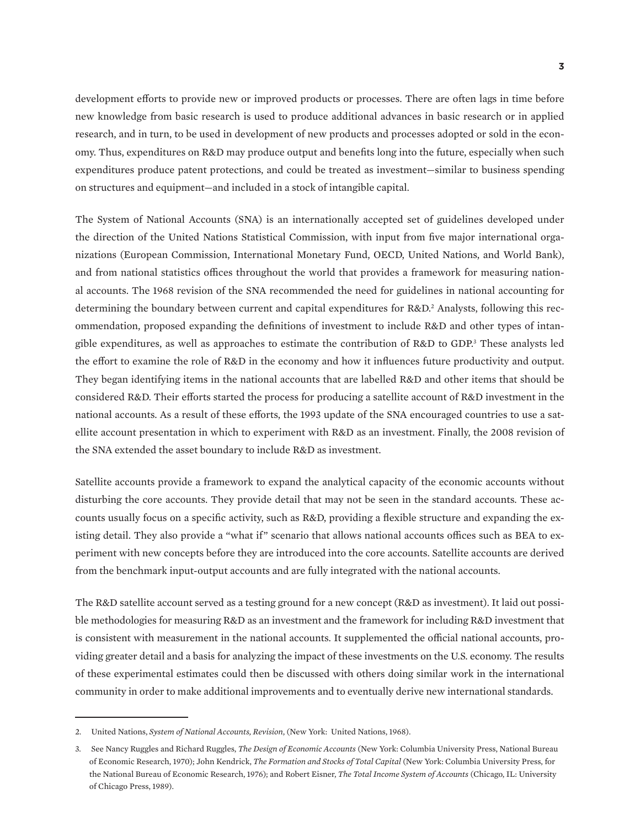development efforts to provide new or improved products or processes. There are often lags in time before new knowledge from basic research is used to produce additional advances in basic research or in applied research, and in turn, to be used in development of new products and processes adopted or sold in the economy. Thus, expenditures on R&D may produce output and benefits long into the future, especially when such expenditures produce patent protections, and could be treated as investment—similar to business spending on structures and equipment—and included in a stock of intangible capital.

The System of National Accounts (SNA) is an internationally accepted set of guidelines developed under the direction of the United Nations Statistical Commission, with input from five major international organizations (European Commission, International Monetary Fund, OECD, United Nations, and World Bank), and from national statistics offices throughout the world that provides a framework for measuring national accounts. The 1968 revision of the SNA recommended the need for guidelines in national accounting for determining the boundary between current and capital expenditures for R&D.<sup>2</sup> Analysts, following this recommendation, proposed expanding the definitions of investment to include R&D and other types of intangible expenditures, as well as approaches to estimate the contribution of R&D to GDP.<sup>3</sup> These analysts led the effort to examine the role of R&D in the economy and how it influences future productivity and output. They began identifying items in the national accounts that are labelled R&D and other items that should be considered R&D. Their efforts started the process for producing a satellite account of R&D investment in the national accounts. As a result of these efforts, the 1993 update of the SNA encouraged countries to use a satellite account presentation in which to experiment with R&D as an investment. Finally, the 2008 revision of the SNA extended the asset boundary to include R&D as investment.

Satellite accounts provide a framework to expand the analytical capacity of the economic accounts without disturbing the core accounts. They provide detail that may not be seen in the standard accounts. These accounts usually focus on a specific activity, such as R&D, providing a flexible structure and expanding the existing detail. They also provide a "what if" scenario that allows national accounts offices such as BEA to experiment with new concepts before they are introduced into the core accounts. Satellite accounts are derived from the benchmark input-output accounts and are fully integrated with the national accounts.

The R&D satellite account served as a testing ground for a new concept (R&D as investment). It laid out possible methodologies for measuring R&D as an investment and the framework for including R&D investment that is consistent with measurement in the national accounts. It supplemented the official national accounts, providing greater detail and a basis for analyzing the impact of these investments on the U.S. economy. The results of these experimental estimates could then be discussed with others doing similar work in the international community in order to make additional improvements and to eventually derive new international standards.

<sup>2.</sup> United Nations, *System of National Accounts, Revision*, (New York: United Nations, 1968).

<sup>3.</sup> See Nancy Ruggles and Richard Ruggles, *The Design of Economic Accounts* (New York: Columbia University Press, National Bureau of Economic Research, 1970); John Kendrick, *The Formation and Stocks of Total Capital* (New York: Columbia University Press, for the National Bureau of Economic Research, 1976); and Robert Eisner, *The Total Income System of Accounts* (Chicago, IL: University of Chicago Press, 1989).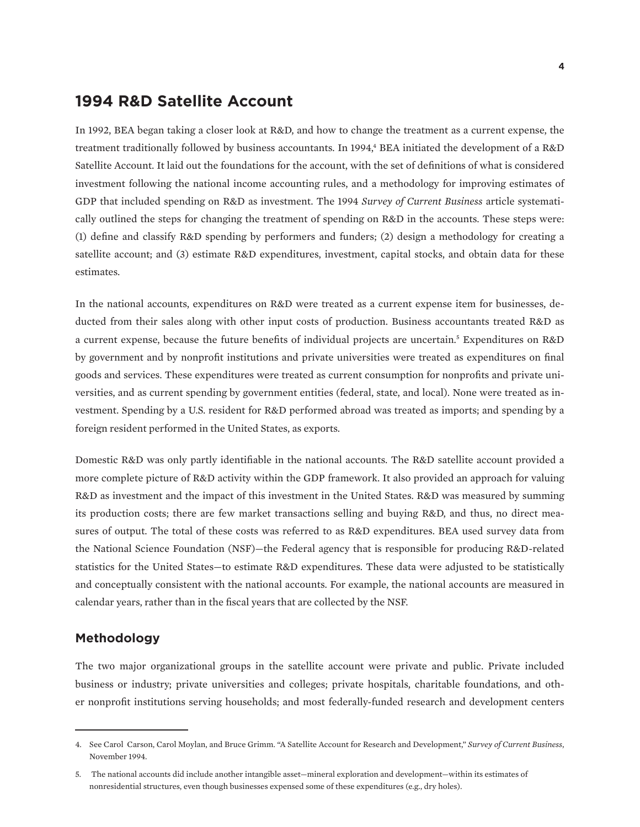# **1994 R&D Satellite Account**

In 1992, BEA began taking a closer look at R&D, and how to change the treatment as a current expense, the treatment traditionally followed by business accountants. In 1994,<sup>4</sup> BEA initiated the development of a R&D Satellite Account. It laid out the foundations for the account, with the set of definitions of what is considered investment following the national income accounting rules, and a methodology for improving estimates of GDP that included spending on R&D as investment. The 1994 *Survey of Current Business* article systematically outlined the steps for changing the treatment of spending on R&D in the accounts. These steps were: (1) define and classify R&D spending by performers and funders; (2) design a methodology for creating a satellite account; and (3) estimate R&D expenditures, investment, capital stocks, and obtain data for these estimates.

In the national accounts, expenditures on R&D were treated as a current expense item for businesses, deducted from their sales along with other input costs of production. Business accountants treated R&D as a current expense, because the future benefits of individual projects are uncertain.<sup>5</sup> Expenditures on R&D by government and by nonprofit institutions and private universities were treated as expenditures on final goods and services. These expenditures were treated as current consumption for nonprofits and private universities, and as current spending by government entities (federal, state, and local). None were treated as investment. Spending by a U.S. resident for R&D performed abroad was treated as imports; and spending by a foreign resident performed in the United States, as exports.

Domestic R&D was only partly identifiable in the national accounts. The R&D satellite account provided a more complete picture of R&D activity within the GDP framework. It also provided an approach for valuing R&D as investment and the impact of this investment in the United States. R&D was measured by summing its production costs; there are few market transactions selling and buying R&D, and thus, no direct measures of output. The total of these costs was referred to as R&D expenditures. BEA used survey data from the National Science Foundation (NSF)—the Federal agency that is responsible for producing R&D-related statistics for the United States—to estimate R&D expenditures. These data were adjusted to be statistically and conceptually consistent with the national accounts. For example, the national accounts are measured in calendar years, rather than in the fiscal years that are collected by the NSF.

#### **Methodology**

The two major organizational groups in the satellite account were private and public. Private included business or industry; private universities and colleges; private hospitals, charitable foundations, and other nonprofit institutions serving households; and most federally-funded research and development centers

<sup>4.</sup> See Carol Carson, Carol Moylan, and Bruce Grimm. "A Satellite Account for Research and Development," *Survey of Current Business*, November 1994.

<sup>5.</sup> The national accounts did include another intangible asset—mineral exploration and development—within its estimates of nonresidential structures, even though businesses expensed some of these expenditures (e.g., dry holes).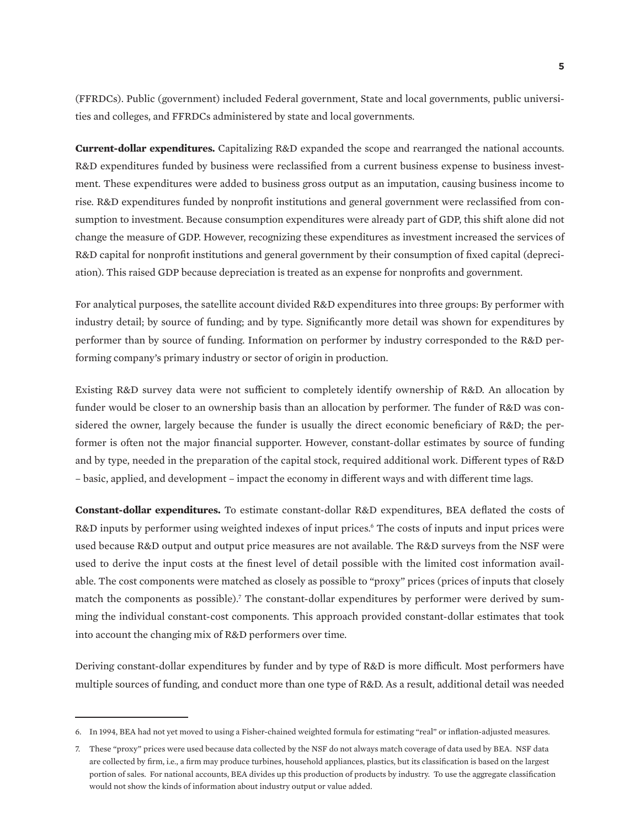(FFRDCs). Public (government) included Federal government, State and local governments, public universities and colleges, and FFRDCs administered by state and local governments.

**Current-dollar expenditures.** Capitalizing R&D expanded the scope and rearranged the national accounts. R&D expenditures funded by business were reclassified from a current business expense to business investment. These expenditures were added to business gross output as an imputation, causing business income to rise. R&D expenditures funded by nonprofit institutions and general government were reclassified from consumption to investment. Because consumption expenditures were already part of GDP, this shift alone did not change the measure of GDP. However, recognizing these expenditures as investment increased the services of R&D capital for nonprofit institutions and general government by their consumption of fixed capital (depreciation). This raised GDP because depreciation is treated as an expense for nonprofits and government.

For analytical purposes, the satellite account divided R&D expenditures into three groups: By performer with industry detail; by source of funding; and by type. Significantly more detail was shown for expenditures by performer than by source of funding. Information on performer by industry corresponded to the R&D performing company's primary industry or sector of origin in production.

Existing R&D survey data were not sufficient to completely identify ownership of R&D. An allocation by funder would be closer to an ownership basis than an allocation by performer. The funder of R&D was considered the owner, largely because the funder is usually the direct economic beneficiary of R&D; the performer is often not the major financial supporter. However, constant-dollar estimates by source of funding and by type, needed in the preparation of the capital stock, required additional work. Different types of R&D – basic, applied, and development – impact the economy in different ways and with different time lags.

**Constant-dollar expenditures.** To estimate constant-dollar R&D expenditures, BEA deflated the costs of R&D inputs by performer using weighted indexes of input prices.<sup>6</sup> The costs of inputs and input prices were used because R&D output and output price measures are not available. The R&D surveys from the NSF were used to derive the input costs at the finest level of detail possible with the limited cost information available. The cost components were matched as closely as possible to "proxy" prices (prices of inputs that closely match the components as possible).<sup>7</sup> The constant-dollar expenditures by performer were derived by summing the individual constant-cost components. This approach provided constant-dollar estimates that took into account the changing mix of R&D performers over time.

Deriving constant-dollar expenditures by funder and by type of R&D is more difficult. Most performers have multiple sources of funding, and conduct more than one type of R&D. As a result, additional detail was needed

<sup>6.</sup> In 1994, BEA had not yet moved to using a Fisher-chained weighted formula for estimating "real" or inflation-adjusted measures.

<sup>7.</sup> These "proxy" prices were used because data collected by the NSF do not always match coverage of data used by BEA. NSF data are collected by firm, i.e., a firm may produce turbines, household appliances, plastics, but its classification is based on the largest portion of sales. For national accounts, BEA divides up this production of products by industry. To use the aggregate classification would not show the kinds of information about industry output or value added.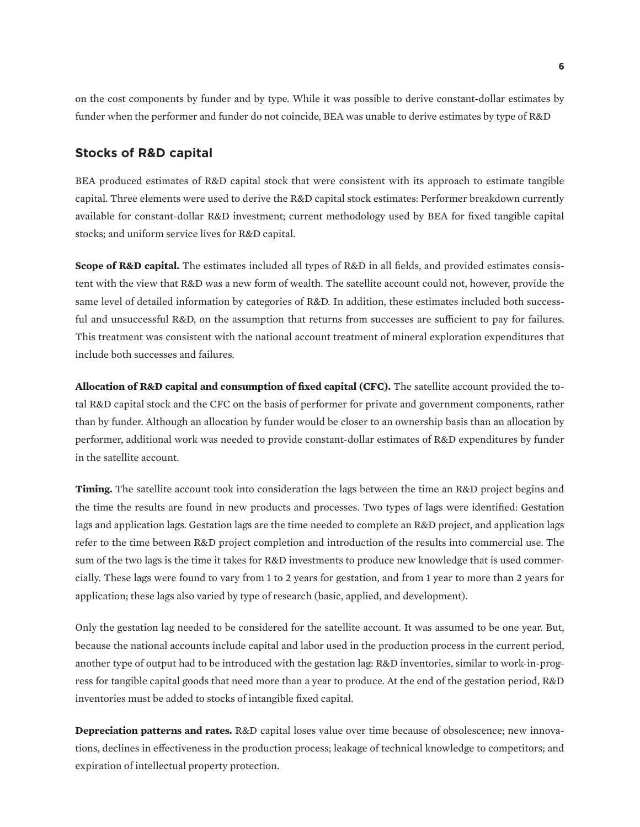on the cost components by funder and by type. While it was possible to derive constant-dollar estimates by funder when the performer and funder do not coincide, BEA was unable to derive estimates by type of R&D

#### **Stocks of R&D capital**

BEA produced estimates of R&D capital stock that were consistent with its approach to estimate tangible capital. Three elements were used to derive the R&D capital stock estimates: Performer breakdown currently available for constant-dollar R&D investment; current methodology used by BEA for fixed tangible capital stocks; and uniform service lives for R&D capital.

**Scope of R&D capital.** The estimates included all types of R&D in all fields, and provided estimates consistent with the view that R&D was a new form of wealth. The satellite account could not, however, provide the same level of detailed information by categories of R&D. In addition, these estimates included both successful and unsuccessful R&D, on the assumption that returns from successes are sufficient to pay for failures. This treatment was consistent with the national account treatment of mineral exploration expenditures that include both successes and failures.

**Allocation of R&D capital and consumption of fixed capital (CFC).** The satellite account provided the total R&D capital stock and the CFC on the basis of performer for private and government components, rather than by funder. Although an allocation by funder would be closer to an ownership basis than an allocation by performer, additional work was needed to provide constant-dollar estimates of R&D expenditures by funder in the satellite account.

**Timing.** The satellite account took into consideration the lags between the time an R&D project begins and the time the results are found in new products and processes. Two types of lags were identified: Gestation lags and application lags. Gestation lags are the time needed to complete an R&D project, and application lags refer to the time between R&D project completion and introduction of the results into commercial use. The sum of the two lags is the time it takes for R&D investments to produce new knowledge that is used commercially. These lags were found to vary from 1 to 2 years for gestation, and from 1 year to more than 2 years for application; these lags also varied by type of research (basic, applied, and development).

Only the gestation lag needed to be considered for the satellite account. It was assumed to be one year. But, because the national accounts include capital and labor used in the production process in the current period, another type of output had to be introduced with the gestation lag: R&D inventories, similar to work-in-progress for tangible capital goods that need more than a year to produce. At the end of the gestation period, R&D inventories must be added to stocks of intangible fixed capital.

**Depreciation patterns and rates.** R&D capital loses value over time because of obsolescence; new innovations, declines in effectiveness in the production process; leakage of technical knowledge to competitors; and expiration of intellectual property protection.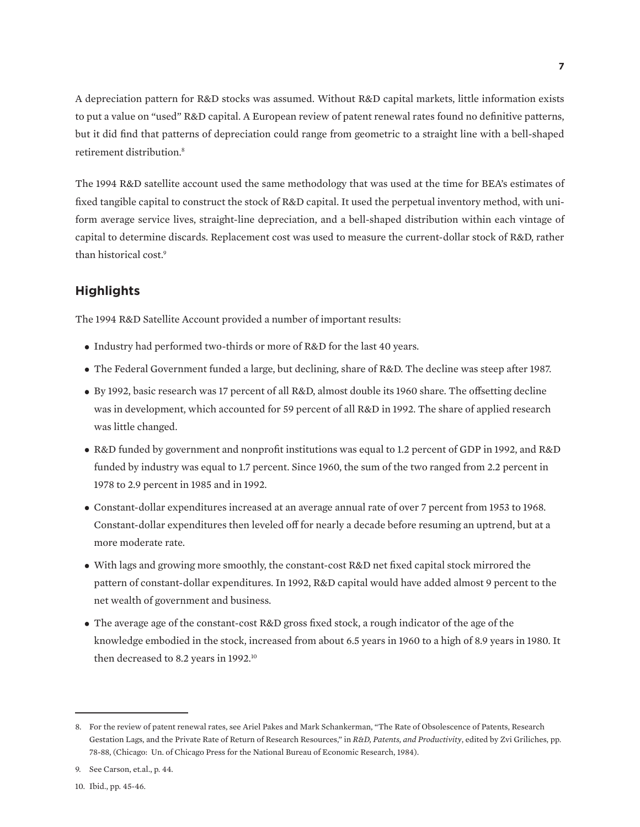A depreciation pattern for R&D stocks was assumed. Without R&D capital markets, little information exists to put a value on "used" R&D capital. A European review of patent renewal rates found no definitive patterns, but it did find that patterns of depreciation could range from geometric to a straight line with a bell-shaped retirement distribution.8

The 1994 R&D satellite account used the same methodology that was used at the time for BEA's estimates of fixed tangible capital to construct the stock of R&D capital. It used the perpetual inventory method, with uniform average service lives, straight-line depreciation, and a bell-shaped distribution within each vintage of capital to determine discards. Replacement cost was used to measure the current-dollar stock of R&D, rather than historical cost.9

### **Highlights**

The 1994 R&D Satellite Account provided a number of important results:

- Industry had performed two-thirds or more of R&D for the last 40 years.
- The Federal Government funded a large, but declining, share of R&D. The decline was steep after 1987.
- By 1992, basic research was 17 percent of all R&D, almost double its 1960 share. The offsetting decline was in development, which accounted for 59 percent of all R&D in 1992. The share of applied research was little changed.
- R&D funded by government and nonprofit institutions was equal to 1.2 percent of GDP in 1992, and R&D funded by industry was equal to 1.7 percent. Since 1960, the sum of the two ranged from 2.2 percent in 1978 to 2.9 percent in 1985 and in 1992.
- Constant-dollar expenditures increased at an average annual rate of over 7 percent from 1953 to 1968. Constant-dollar expenditures then leveled off for nearly a decade before resuming an uptrend, but at a more moderate rate.
- With lags and growing more smoothly, the constant-cost R&D net fixed capital stock mirrored the pattern of constant-dollar expenditures. In 1992, R&D capital would have added almost 9 percent to the net wealth of government and business.
- The average age of the constant-cost R&D gross fixed stock, a rough indicator of the age of the knowledge embodied in the stock, increased from about 6.5 years in 1960 to a high of 8.9 years in 1980. It then decreased to 8.2 years in 1992.<sup>10</sup>

<sup>8.</sup> For the review of patent renewal rates, see Ariel Pakes and Mark Schankerman, "The Rate of Obsolescence of Patents, Research Gestation Lags, and the Private Rate of Return of Research Resources," in *R&D, Patents, and Productivity*, edited by Zvi Griliches, pp. 78-88, (Chicago: Un. of Chicago Press for the National Bureau of Economic Research, 1984).

<sup>9.</sup> See Carson, et.al., p. 44.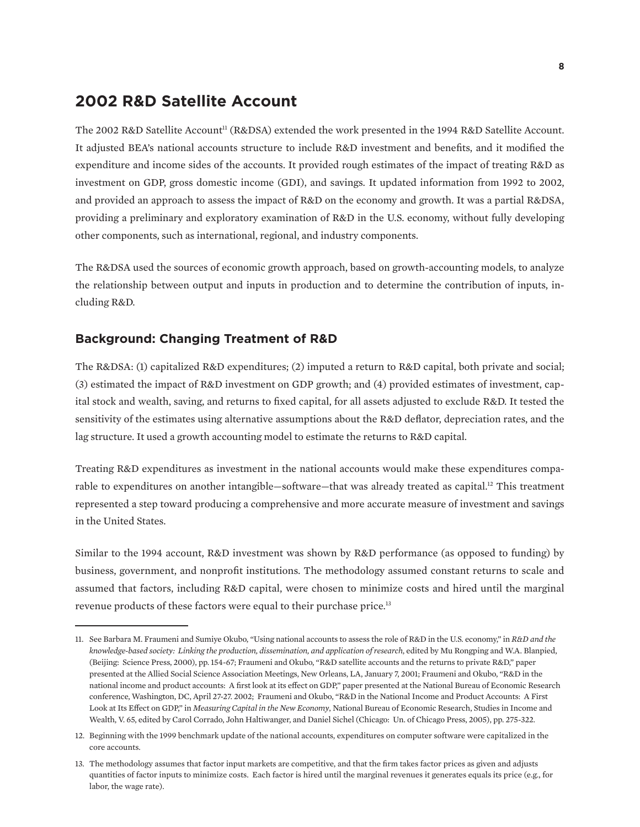# **2002 R&D Satellite Account**

The 2002 R&D Satellite Account<sup>11</sup> (R&DSA) extended the work presented in the 1994 R&D Satellite Account. It adjusted BEA's national accounts structure to include R&D investment and benefits, and it modified the expenditure and income sides of the accounts. It provided rough estimates of the impact of treating R&D as investment on GDP, gross domestic income (GDI), and savings. It updated information from 1992 to 2002, and provided an approach to assess the impact of R&D on the economy and growth. It was a partial R&DSA, providing a preliminary and exploratory examination of R&D in the U.S. economy, without fully developing other components, such as international, regional, and industry components.

The R&DSA used the sources of economic growth approach, based on growth-accounting models, to analyze the relationship between output and inputs in production and to determine the contribution of inputs, including R&D.

#### **Background: Changing Treatment of R&D**

The R&DSA: (1) capitalized R&D expenditures; (2) imputed a return to R&D capital, both private and social; (3) estimated the impact of R&D investment on GDP growth; and (4) provided estimates of investment, capital stock and wealth, saving, and returns to fixed capital, for all assets adjusted to exclude R&D. It tested the sensitivity of the estimates using alternative assumptions about the R&D deflator, depreciation rates, and the lag structure. It used a growth accounting model to estimate the returns to R&D capital.

Treating R&D expenditures as investment in the national accounts would make these expenditures comparable to expenditures on another intangible—software—that was already treated as capital.12 This treatment represented a step toward producing a comprehensive and more accurate measure of investment and savings in the United States.

Similar to the 1994 account, R&D investment was shown by R&D performance (as opposed to funding) by business, government, and nonprofit institutions. The methodology assumed constant returns to scale and assumed that factors, including R&D capital, were chosen to minimize costs and hired until the marginal revenue products of these factors were equal to their purchase price.13

<sup>11.</sup> See Barbara M. Fraumeni and Sumiye Okubo, "Using national accounts to assess the role of R&D in the U.S. economy," in *R&D and the knowledge-based society: Linking the production, dissemination, and application of research*, edited by Mu Rongping and W.A. Blanpied, (Beijing: Science Press, 2000), pp. 154-67; Fraumeni and Okubo, "R&D satellite accounts and the returns to private R&D," paper presented at the Allied Social Science Association Meetings, New Orleans, LA, January 7, 2001; Fraumeni and Okubo, "R&D in the national income and product accounts: A first look at its effect on GDP," paper presented at the National Bureau of Economic Research conference, Washington, DC, April 27-27. 2002; Fraumeni and Okubo, "R&D in the National Income and Product Accounts: A First Look at Its Effect on GDP," in *Measuring Capital in the New Economy*, National Bureau of Economic Research, Studies in Income and Wealth, V. 65, edited by Carol Corrado, John Haltiwanger, and Daniel Sichel (Chicago: Un. of Chicago Press, 2005), pp. 275-322.

<sup>12.</sup> Beginning with the 1999 benchmark update of the national accounts, expenditures on computer software were capitalized in the core accounts.

<sup>13.</sup> The methodology assumes that factor input markets are competitive, and that the firm takes factor prices as given and adjusts quantities of factor inputs to minimize costs. Each factor is hired until the marginal revenues it generates equals its price (e.g., for labor, the wage rate).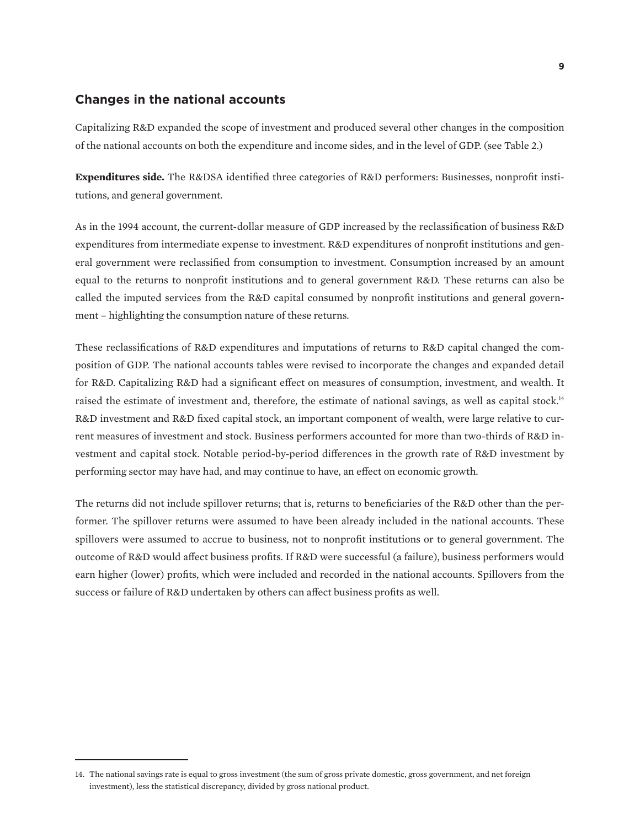### **Changes in the national accounts**

Capitalizing R&D expanded the scope of investment and produced several other changes in the composition of the national accounts on both the expenditure and income sides, and in the level of GDP. (see Table 2.)

**Expenditures side.** The R&DSA identified three categories of R&D performers: Businesses, nonprofit institutions, and general government.

As in the 1994 account, the current-dollar measure of GDP increased by the reclassification of business R&D expenditures from intermediate expense to investment. R&D expenditures of nonprofit institutions and general government were reclassified from consumption to investment. Consumption increased by an amount equal to the returns to nonprofit institutions and to general government R&D. These returns can also be called the imputed services from the R&D capital consumed by nonprofit institutions and general government – highlighting the consumption nature of these returns.

These reclassifications of R&D expenditures and imputations of returns to R&D capital changed the composition of GDP. The national accounts tables were revised to incorporate the changes and expanded detail for R&D. Capitalizing R&D had a significant effect on measures of consumption, investment, and wealth. It raised the estimate of investment and, therefore, the estimate of national savings, as well as capital stock.<sup>14</sup> R&D investment and R&D fixed capital stock, an important component of wealth, were large relative to current measures of investment and stock. Business performers accounted for more than two-thirds of R&D investment and capital stock. Notable period-by-period differences in the growth rate of R&D investment by performing sector may have had, and may continue to have, an effect on economic growth.

The returns did not include spillover returns; that is, returns to beneficiaries of the R&D other than the performer. The spillover returns were assumed to have been already included in the national accounts. These spillovers were assumed to accrue to business, not to nonprofit institutions or to general government. The outcome of R&D would affect business profits. If R&D were successful (a failure), business performers would earn higher (lower) profits, which were included and recorded in the national accounts. Spillovers from the success or failure of R&D undertaken by others can affect business profits as well.

<sup>14.</sup> The national savings rate is equal to gross investment (the sum of gross private domestic, gross government, and net foreign investment), less the statistical discrepancy, divided by gross national product.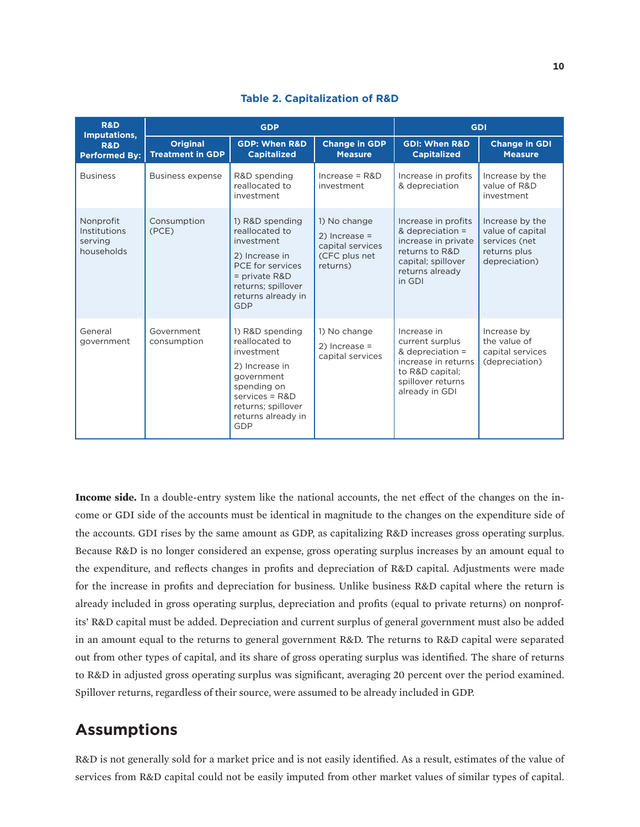| <b>R&amp;D</b><br>Imputations,                     |                                            | <b>GDP</b>                                                                                                                                                               | <b>GDI</b>                                                                       |                                                                                                                                     |                                                                                       |
|----------------------------------------------------|--------------------------------------------|--------------------------------------------------------------------------------------------------------------------------------------------------------------------------|----------------------------------------------------------------------------------|-------------------------------------------------------------------------------------------------------------------------------------|---------------------------------------------------------------------------------------|
| <b>R&amp;D</b><br><b>Performed By:</b>             | <b>Original</b><br><b>Treatment in GDP</b> | <b>GDP: When R&amp;D</b><br><b>Capitalized</b>                                                                                                                           | <b>Change in GDP</b><br><b>Measure</b>                                           | <b>GDI: When R&amp;D</b><br><b>Capitalized</b>                                                                                      | <b>Change in GDI</b><br><b>Measure</b>                                                |
| <b>Business</b>                                    | <b>Business expense</b>                    | R&D spending<br>reallocated to<br>investment                                                                                                                             | $Increase = R&D$<br>investment                                                   | Increase in profits<br>& depreciation                                                                                               | Increase by the<br>value of R&D<br>investment                                         |
| Nonprofit<br>Institutions<br>serving<br>households | Consumption<br>(PCE)                       | 1) R&D spending<br>reallocated to<br>investment<br>2) Increase in<br>PCE for services<br>= private R&D<br>returns; spillover<br>returns already in<br>GDP                | 1) No change<br>$2)$ Increase =<br>capital services<br>(CFC plus net<br>returns) | Increase in profits<br>& depreciation =<br>increase in private<br>returns to R&D<br>capital; spillover<br>returns already<br>in GDI | Increase by the<br>value of capital<br>services (net<br>returns plus<br>depreciation) |
| General<br>government                              | Government<br>consumption                  | 1) R&D spending<br>reallocated to<br>investment<br>2) Increase in<br>government<br>spending on<br>$s$ ervices = $R&D$<br>returns; spillover<br>returns already in<br>GDP | 1) No change<br>$2)$ Increase =<br>capital services                              | Increase in<br>current surplus<br>& depreciation =<br>increase in returns<br>to R&D capital;<br>spillover returns<br>already in GDI | Increase by<br>the value of<br>capital services<br>(depreciation)                     |

**Table 2. Capitalization of R&D**

**Income side.** In a double-entry system like the national accounts, the net effect of the changes on the income or GDI side of the accounts must be identical in magnitude to the changes on the expenditure side of the accounts. GDI rises by the same amount as GDP, as capitalizing R&D increases gross operating surplus. Because R&D is no longer considered an expense, gross operating surplus increases by an amount equal to the expenditure, and reflects changes in profits and depreciation of R&D capital. Adjustments were made for the increase in profits and depreciation for business. Unlike business R&D capital where the return is already included in gross operating surplus, depreciation and profits (equal to private returns) on nonprofits' R&D capital must be added. Depreciation and current surplus of general government must also be added in an amount equal to the returns to general government R&D. The returns to R&D capital were separated out from other types of capital, and its share of gross operating surplus was identified. The share of returns to R&D in adjusted gross operating surplus was significant, averaging 20 percent over the period examined. Spillover returns, regardless of their source, were assumed to be already included in GDP.

# **Assumptions**

R&D is not generally sold for a market price and is not easily identified. As a result, estimates of the value of services from R&D capital could not be easily imputed from other market values of similar types of capital.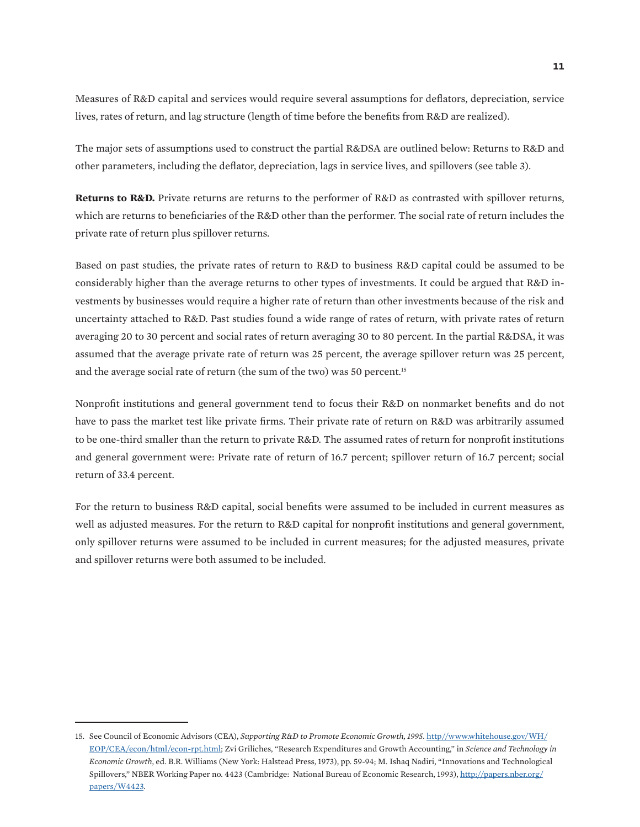Measures of R&D capital and services would require several assumptions for deflators, depreciation, service lives, rates of return, and lag structure (length of time before the benefits from R&D are realized).

The major sets of assumptions used to construct the partial R&DSA are outlined below: Returns to R&D and other parameters, including the deflator, depreciation, lags in service lives, and spillovers (see table 3).

**Returns to R&D.** Private returns are returns to the performer of R&D as contrasted with spillover returns, which are returns to beneficiaries of the R&D other than the performer. The social rate of return includes the private rate of return plus spillover returns.

Based on past studies, the private rates of return to R&D to business R&D capital could be assumed to be considerably higher than the average returns to other types of investments. It could be argued that R&D investments by businesses would require a higher rate of return than other investments because of the risk and uncertainty attached to R&D. Past studies found a wide range of rates of return, with private rates of return averaging 20 to 30 percent and social rates of return averaging 30 to 80 percent. In the partial R&DSA, it was assumed that the average private rate of return was 25 percent, the average spillover return was 25 percent, and the average social rate of return (the sum of the two) was 50 percent.<sup>15</sup>

Nonprofit institutions and general government tend to focus their R&D on nonmarket benefits and do not have to pass the market test like private firms. Their private rate of return on R&D was arbitrarily assumed to be one-third smaller than the return to private R&D. The assumed rates of return for nonprofit institutions and general government were: Private rate of return of 16.7 percent; spillover return of 16.7 percent; social return of 33.4 percent.

For the return to business R&D capital, social benefits were assumed to be included in current measures as well as adjusted measures. For the return to R&D capital for nonprofit institutions and general government, only spillover returns were assumed to be included in current measures; for the adjusted measures, private and spillover returns were both assumed to be included.

<sup>15.</sup> See Council of Economic Advisors (CEA), *Supporting R&D to Promote Economic Growth, 1995*. [http//www.whitehouse.gov/WH/](http://http//www.whitehouse.gov/WH/EOP/CEA/econ/html/econ-rpt.html) [EOP/CEA/econ/html/econ-rpt.html](http://http//www.whitehouse.gov/WH/EOP/CEA/econ/html/econ-rpt.html); Zvi Griliches, "Research Expenditures and Growth Accounting," in *Science and Technology in Economic Growth*, ed. B.R. Williams (New York: Halstead Press, 1973), pp. 59-94; M. Ishaq Nadiri, "Innovations and Technological Spillovers," NBER Working Paper no. 4423 (Cambridge: National Bureau of Economic Research, 1993), [http://papers.nber.org/](http://papers.nber.org/papers/W4423) [papers/W4423.](http://papers.nber.org/papers/W4423)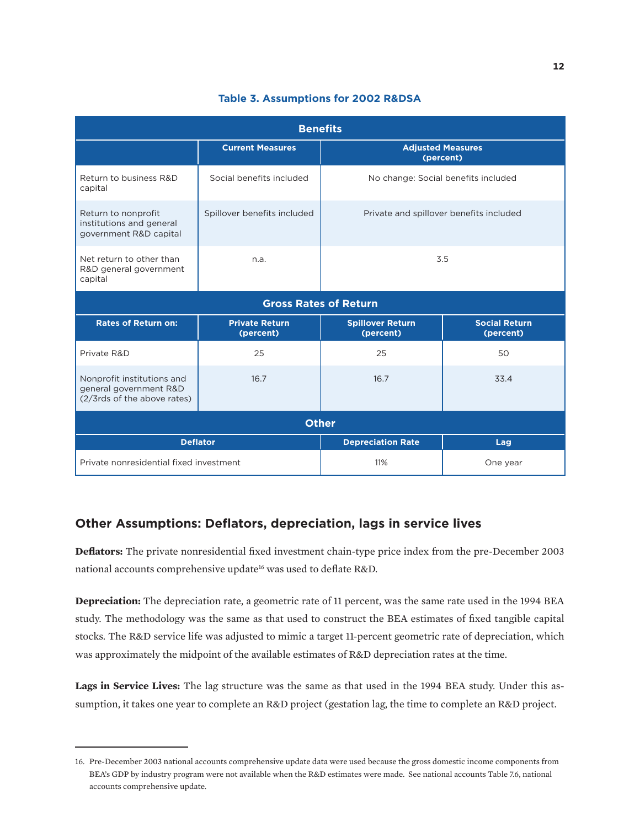| <b>Benefits</b>                                                                     |                                    |                                         |                                   |  |
|-------------------------------------------------------------------------------------|------------------------------------|-----------------------------------------|-----------------------------------|--|
|                                                                                     | <b>Current Measures</b>            | <b>Adjusted Measures</b><br>(percent)   |                                   |  |
| Return to business R&D<br>capital                                                   | Social benefits included           | No change: Social benefits included     |                                   |  |
| Return to nonprofit<br>institutions and general<br>government R&D capital           | Spillover benefits included        | Private and spillover benefits included |                                   |  |
| Net return to other than<br>R&D general government<br>capital                       | n.a.                               | 3.5                                     |                                   |  |
|                                                                                     | <b>Gross Rates of Return</b>       |                                         |                                   |  |
| <b>Rates of Return on:</b>                                                          | <b>Private Return</b><br>(percent) | <b>Spillover Return</b><br>(percent)    | <b>Social Return</b><br>(percent) |  |
| Private R&D                                                                         | 25                                 | 25                                      | 50                                |  |
| Nonprofit institutions and<br>general government R&D<br>(2/3rds of the above rates) | 16.7                               | 16.7                                    | 33.4                              |  |
| <b>Other</b>                                                                        |                                    |                                         |                                   |  |
|                                                                                     | <b>Deflator</b>                    | <b>Depreciation Rate</b>                | Lag                               |  |
| Private nonresidential fixed investment                                             |                                    | 11%                                     | One year                          |  |

#### **Table 3. Assumptions for 2002 R&DSA**

## **Other Assumptions: Deflators, depreciation, lags in service lives**

**Deflators:** The private nonresidential fixed investment chain-type price index from the pre-December 2003 national accounts comprehensive update<sup>16</sup> was used to deflate R&D.

**Depreciation:** The depreciation rate, a geometric rate of 11 percent, was the same rate used in the 1994 BEA study. The methodology was the same as that used to construct the BEA estimates of fixed tangible capital stocks. The R&D service life was adjusted to mimic a target 11-percent geometric rate of depreciation, which was approximately the midpoint of the available estimates of R&D depreciation rates at the time.

**Lags in Service Lives:** The lag structure was the same as that used in the 1994 BEA study. Under this assumption, it takes one year to complete an R&D project (gestation lag, the time to complete an R&D project.

<sup>16.</sup> Pre-December 2003 national accounts comprehensive update data were used because the gross domestic income components from BEA's GDP by industry program were not available when the R&D estimates were made. See national accounts Table 7.6, national accounts comprehensive update.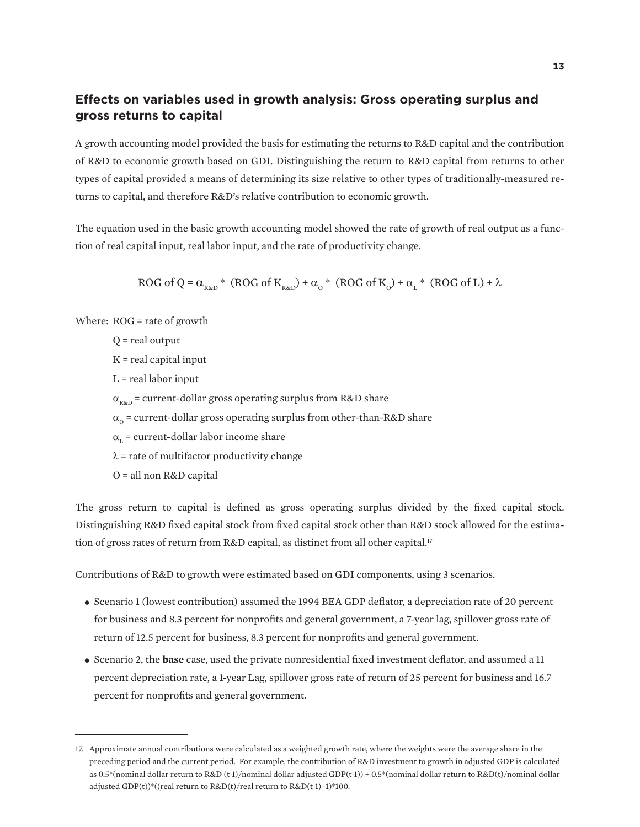### **Effects on variables used in growth analysis: Gross operating surplus and gross returns to capital**

A growth accounting model provided the basis for estimating the returns to R&D capital and the contribution of R&D to economic growth based on GDI. Distinguishing the return to R&D capital from returns to other types of capital provided a means of determining its size relative to other types of traditionally-measured returns to capital, and therefore R&D's relative contribution to economic growth.

The equation used in the basic growth accounting model showed the rate of growth of real output as a function of real capital input, real labor input, and the rate of productivity change.

ROG of Q = 
$$
\alpha_{\text{RAD}}^*
$$
 (ROG of K<sub>RAD</sub>) +  $\alpha_0^*$  (ROG of K<sub>0</sub>) +  $\alpha_L^*$  (ROG of L) +  $\lambda$ 

Where: ROG = rate of growth

Q = real output K = real capital input  $L$  = real labor input  $\alpha_{\text{RAD}}$  = current-dollar gross operating surplus from R&D share  $\alpha_0$  = current-dollar gross operating surplus from other-than-R&D share  $\alpha_{\rm r}$  = current-dollar labor income share  $\lambda$  = rate of multifactor productivity change

O = all non R&D capital

The gross return to capital is defined as gross operating surplus divided by the fixed capital stock. Distinguishing R&D fixed capital stock from fixed capital stock other than R&D stock allowed for the estimation of gross rates of return from R&D capital, as distinct from all other capital.<sup>17</sup>

Contributions of R&D to growth were estimated based on GDI components, using 3 scenarios.

- Scenario 1 (lowest contribution) assumed the 1994 BEA GDP deflator, a depreciation rate of 20 percent for business and 8.3 percent for nonprofits and general government, a 7-year lag, spillover gross rate of return of 12.5 percent for business, 8.3 percent for nonprofits and general government.
- Scenario 2, the **base** case, used the private nonresidential fixed investment deflator, and assumed a 11 percent depreciation rate, a 1-year Lag, spillover gross rate of return of 25 percent for business and 16.7 percent for nonprofits and general government.

<sup>17.</sup> Approximate annual contributions were calculated as a weighted growth rate, where the weights were the average share in the preceding period and the current period. For example, the contribution of R&D investment to growth in adjusted GDP is calculated as 0.5\*(nominal dollar return to R&D (t-1)/nominal dollar adjusted GDP(t-1)) + 0.5\*(nominal dollar return to R&D(t)/nominal dollar adjusted GDP(t))\*((real return to R&D(t)/real return to R&D(t-1) -1)\*100.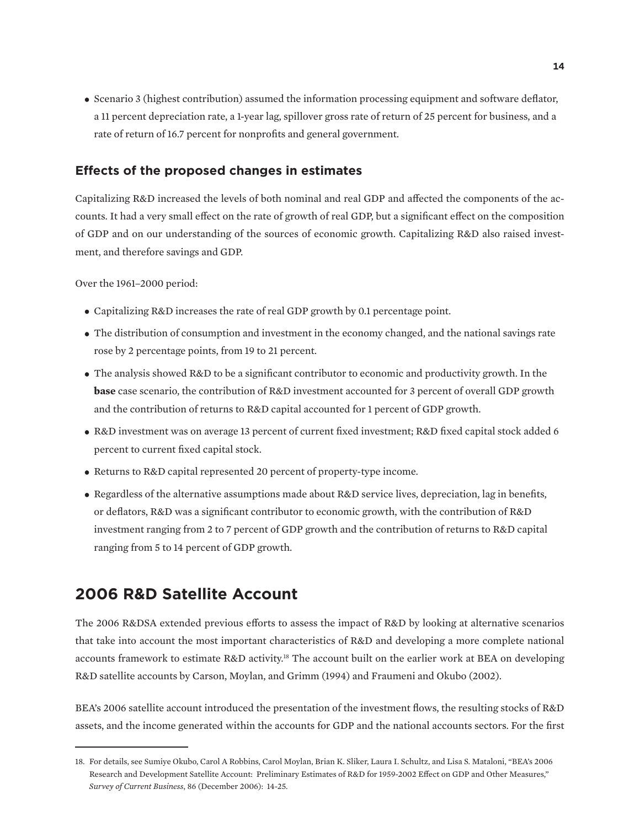**•** Scenario 3 (highest contribution) assumed the information processing equipment and software deflator, a 11 percent depreciation rate, a 1-year lag, spillover gross rate of return of 25 percent for business, and a rate of return of 16.7 percent for nonprofits and general government.

### **Effects of the proposed changes in estimates**

Capitalizing R&D increased the levels of both nominal and real GDP and affected the components of the accounts. It had a very small effect on the rate of growth of real GDP, but a significant effect on the composition of GDP and on our understanding of the sources of economic growth. Capitalizing R&D also raised investment, and therefore savings and GDP.

Over the 1961–2000 period:

- Capitalizing R&D increases the rate of real GDP growth by 0.1 percentage point.
- The distribution of consumption and investment in the economy changed, and the national savings rate rose by 2 percentage points, from 19 to 21 percent.
- The analysis showed R&D to be a significant contributor to economic and productivity growth. In the **base** case scenario, the contribution of R&D investment accounted for 3 percent of overall GDP growth and the contribution of returns to R&D capital accounted for 1 percent of GDP growth.
- R&D investment was on average 13 percent of current fixed investment; R&D fixed capital stock added 6 percent to current fixed capital stock.
- Returns to R&D capital represented 20 percent of property-type income.
- Regardless of the alternative assumptions made about R&D service lives, depreciation, lag in benefits, or deflators, R&D was a significant contributor to economic growth, with the contribution of R&D investment ranging from 2 to 7 percent of GDP growth and the contribution of returns to R&D capital ranging from 5 to 14 percent of GDP growth.

# **2006 R&D Satellite Account**

The 2006 R&DSA extended previous efforts to assess the impact of R&D by looking at alternative scenarios that take into account the most important characteristics of R&D and developing a more complete national accounts framework to estimate R&D activity.18 The account built on the earlier work at BEA on developing R&D satellite accounts by Carson, Moylan, and Grimm (1994) and Fraumeni and Okubo (2002).

BEA's 2006 satellite account introduced the presentation of the investment flows, the resulting stocks of R&D assets, and the income generated within the accounts for GDP and the national accounts sectors. For the first

<sup>18.</sup> For details, see Sumiye Okubo, Carol A Robbins, Carol Moylan, Brian K. Sliker, Laura I. Schultz, and Lisa S. Mataloni, "BEA's 2006 Research and Development Satellite Account: Preliminary Estimates of R&D for 1959-2002 Effect on GDP and Other Measures," *Survey of Current Business*, 86 (December 2006): 14-25.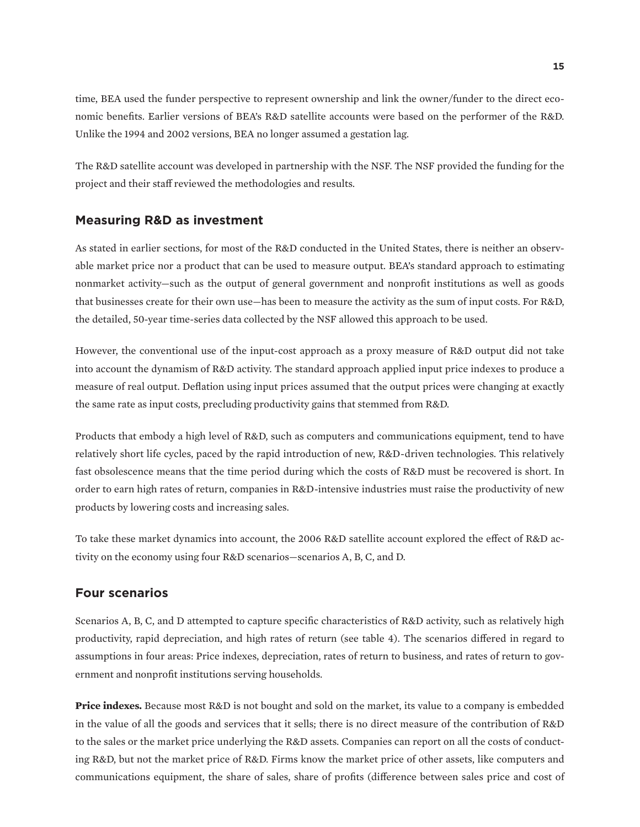time, BEA used the funder perspective to represent ownership and link the owner/funder to the direct economic benefits. Earlier versions of BEA's R&D satellite accounts were based on the performer of the R&D. Unlike the 1994 and 2002 versions, BEA no longer assumed a gestation lag.

The R&D satellite account was developed in partnership with the NSF. The NSF provided the funding for the project and their staff reviewed the methodologies and results.

#### **Measuring R&D as investment**

As stated in earlier sections, for most of the R&D conducted in the United States, there is neither an observable market price nor a product that can be used to measure output. BEA's standard approach to estimating nonmarket activity—such as the output of general government and nonprofit institutions as well as goods that businesses create for their own use—has been to measure the activity as the sum of input costs. For R&D, the detailed, 50-year time-series data collected by the NSF allowed this approach to be used.

However, the conventional use of the input-cost approach as a proxy measure of R&D output did not take into account the dynamism of R&D activity. The standard approach applied input price indexes to produce a measure of real output. Deflation using input prices assumed that the output prices were changing at exactly the same rate as input costs, precluding productivity gains that stemmed from R&D.

Products that embody a high level of R&D, such as computers and communications equipment, tend to have relatively short life cycles, paced by the rapid introduction of new, R&D-driven technologies. This relatively fast obsolescence means that the time period during which the costs of R&D must be recovered is short. In order to earn high rates of return, companies in R&D-intensive industries must raise the productivity of new products by lowering costs and increasing sales.

To take these market dynamics into account, the 2006 R&D satellite account explored the effect of R&D activity on the economy using four R&D scenarios—scenarios A, B, C, and D.

#### **Four scenarios**

Scenarios A, B, C, and D attempted to capture specific characteristics of R&D activity, such as relatively high productivity, rapid depreciation, and high rates of return (see table 4). The scenarios differed in regard to assumptions in four areas: Price indexes, depreciation, rates of return to business, and rates of return to government and nonprofit institutions serving households.

**Price indexes.** Because most R&D is not bought and sold on the market, its value to a company is embedded in the value of all the goods and services that it sells; there is no direct measure of the contribution of R&D to the sales or the market price underlying the R&D assets. Companies can report on all the costs of conducting R&D, but not the market price of R&D. Firms know the market price of other assets, like computers and communications equipment, the share of sales, share of profits (difference between sales price and cost of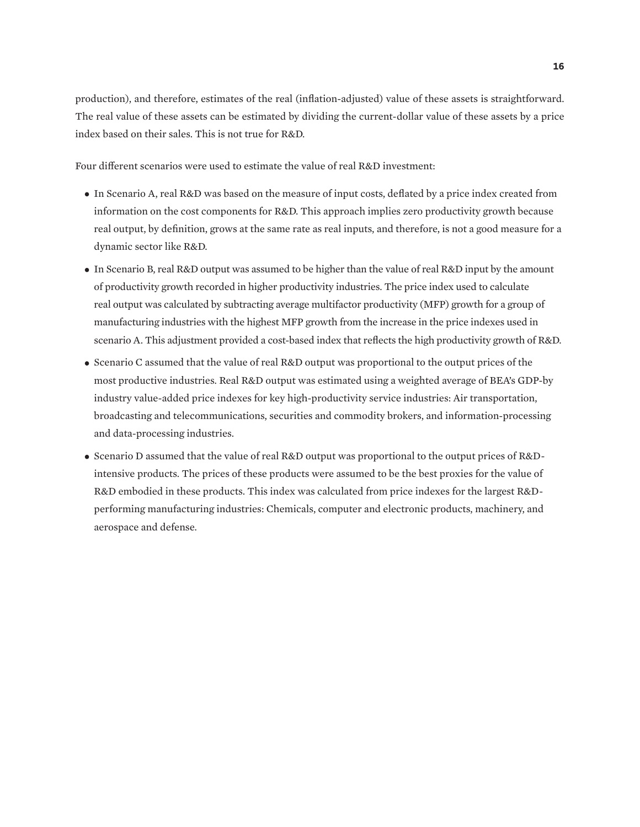production), and therefore, estimates of the real (inflation-adjusted) value of these assets is straightforward. The real value of these assets can be estimated by dividing the current-dollar value of these assets by a price index based on their sales. This is not true for R&D.

Four different scenarios were used to estimate the value of real R&D investment:

- In Scenario A, real R&D was based on the measure of input costs, deflated by a price index created from information on the cost components for R&D. This approach implies zero productivity growth because real output, by definition, grows at the same rate as real inputs, and therefore, is not a good measure for a dynamic sector like R&D.
- In Scenario B, real R&D output was assumed to be higher than the value of real R&D input by the amount of productivity growth recorded in higher productivity industries. The price index used to calculate real output was calculated by subtracting average multifactor productivity (MFP) growth for a group of manufacturing industries with the highest MFP growth from the increase in the price indexes used in scenario A. This adjustment provided a cost-based index that reflects the high productivity growth of R&D.
- Scenario C assumed that the value of real R&D output was proportional to the output prices of the most productive industries. Real R&D output was estimated using a weighted average of BEA's GDP-by industry value-added price indexes for key high-productivity service industries: Air transportation, broadcasting and telecommunications, securities and commodity brokers, and information-processing and data-processing industries.
- Scenario D assumed that the value of real R&D output was proportional to the output prices of R&Dintensive products. The prices of these products were assumed to be the best proxies for the value of R&D embodied in these products. This index was calculated from price indexes for the largest R&Dperforming manufacturing industries: Chemicals, computer and electronic products, machinery, and aerospace and defense.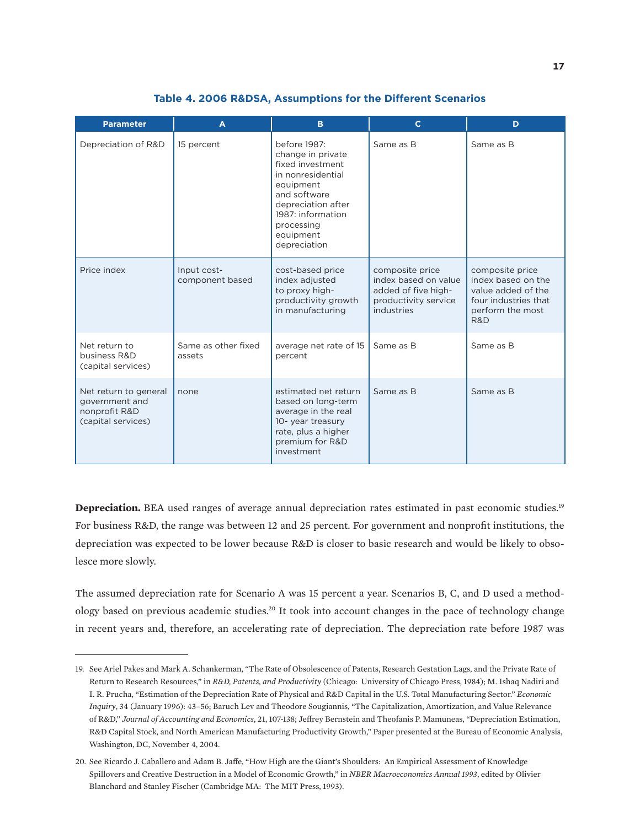| <b>Parameter</b>                                                               | A                              | B                                                                                                                                                                                             | $\mathbf{C}$                                                                                         | D                                                                                                              |
|--------------------------------------------------------------------------------|--------------------------------|-----------------------------------------------------------------------------------------------------------------------------------------------------------------------------------------------|------------------------------------------------------------------------------------------------------|----------------------------------------------------------------------------------------------------------------|
| Depreciation of R&D                                                            | 15 percent                     | before 1987:<br>change in private<br>fixed investment<br>in nonresidential<br>equipment<br>and software<br>depreciation after<br>1987: information<br>processing<br>equipment<br>depreciation | Same as B                                                                                            | Same as B                                                                                                      |
| Price index                                                                    | Input cost-<br>component based | cost-based price<br>index adjusted<br>to proxy high-<br>productivity growth<br>in manufacturing                                                                                               | composite price<br>index based on value<br>added of five high-<br>productivity service<br>industries | composite price<br>index based on the<br>value added of the<br>four industries that<br>perform the most<br>R&D |
| Net return to<br>business R&D<br>(capital services)                            | Same as other fixed<br>assets  | average net rate of 15<br>percent                                                                                                                                                             | Same as B                                                                                            | Same as B                                                                                                      |
| Net return to general<br>government and<br>nonprofit R&D<br>(capital services) | none                           | estimated net return<br>based on long-term<br>average in the real<br>10- year treasury<br>rate, plus a higher<br>premium for R&D<br>investment                                                | Same as B                                                                                            | Same as B                                                                                                      |

#### **Table 4. 2006 R&DSA, Assumptions for the Different Scenarios**

**Depreciation.** BEA used ranges of average annual depreciation rates estimated in past economic studies.<sup>19</sup> For business R&D, the range was between 12 and 25 percent. For government and nonprofit institutions, the depreciation was expected to be lower because R&D is closer to basic research and would be likely to obsolesce more slowly.

The assumed depreciation rate for Scenario A was 15 percent a year. Scenarios B, C, and D used a methodology based on previous academic studies.20 It took into account changes in the pace of technology change in recent years and, therefore, an accelerating rate of depreciation. The depreciation rate before 1987 was

<sup>19.</sup> See Ariel Pakes and Mark A. Schankerman, "The Rate of Obsolescence of Patents, Research Gestation Lags, and the Private Rate of Return to Research Resources," in *R&D, Patents, and Productivity* (Chicago: University of Chicago Press, 1984); M. Ishaq Nadiri and I. R. Prucha, "Estimation of the Depreciation Rate of Physical and R&D Capital in the U.S. Total Manufacturing Sector." *Economic Inquiry*, 34 (January 1996): 43–56; Baruch Lev and Theodore Sougiannis, "The Capitalization, Amortization, and Value Relevance of R&D," *Journal of Accounting and Economics*, 21, 107-138; Jeffrey Bernstein and Theofanis P. Mamuneas, "Depreciation Estimation, R&D Capital Stock, and North American Manufacturing Productivity Growth," Paper presented at the Bureau of Economic Analysis, Washington, DC, November 4, 2004.

<sup>20.</sup> See Ricardo J. Caballero and Adam B. Jaffe, "How High are the Giant's Shoulders: An Empirical Assessment of Knowledge Spillovers and Creative Destruction in a Model of Economic Growth," in *NBER Macroeconomics Annual 1993*, edited by Olivier Blanchard and Stanley Fischer (Cambridge MA: The MIT Press, 1993).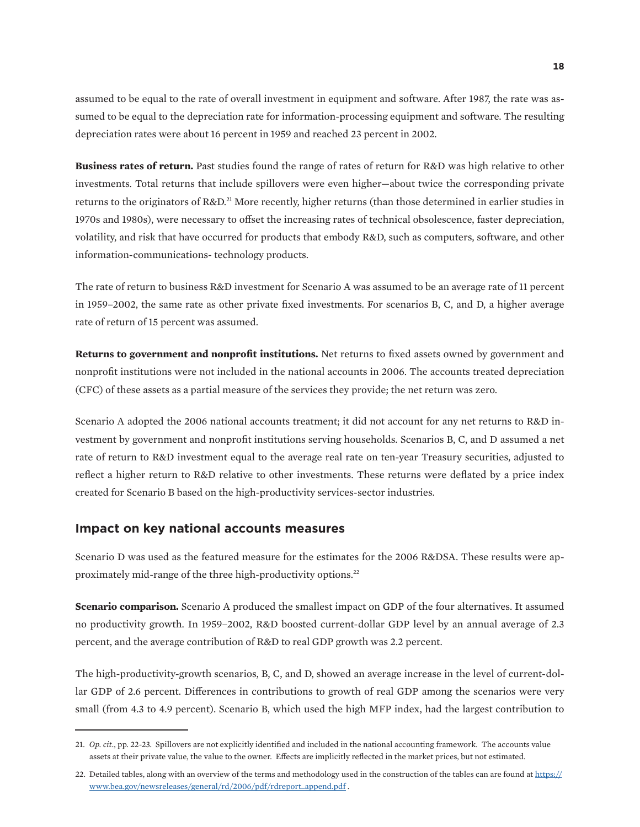assumed to be equal to the rate of overall investment in equipment and software. After 1987, the rate was assumed to be equal to the depreciation rate for information-processing equipment and software. The resulting depreciation rates were about 16 percent in 1959 and reached 23 percent in 2002.

**Business rates of return.** Past studies found the range of rates of return for R&D was high relative to other investments. Total returns that include spillovers were even higher—about twice the corresponding private returns to the originators of R&D.21 More recently, higher returns (than those determined in earlier studies in 1970s and 1980s), were necessary to offset the increasing rates of technical obsolescence, faster depreciation, volatility, and risk that have occurred for products that embody R&D, such as computers, software, and other information-communications- technology products.

The rate of return to business R&D investment for Scenario A was assumed to be an average rate of 11 percent in 1959–2002, the same rate as other private fixed investments. For scenarios B, C, and D, a higher average rate of return of 15 percent was assumed.

**Returns to government and nonprofit institutions.** Net returns to fixed assets owned by government and nonprofit institutions were not included in the national accounts in 2006. The accounts treated depreciation (CFC) of these assets as a partial measure of the services they provide; the net return was zero.

Scenario A adopted the 2006 national accounts treatment; it did not account for any net returns to R&D investment by government and nonprofit institutions serving households. Scenarios B, C, and D assumed a net rate of return to R&D investment equal to the average real rate on ten-year Treasury securities, adjusted to reflect a higher return to R&D relative to other investments. These returns were deflated by a price index created for Scenario B based on the high-productivity services-sector industries.

#### **Impact on key national accounts measures**

Scenario D was used as the featured measure for the estimates for the 2006 R&DSA. These results were approximately mid-range of the three high-productivity options.<sup>22</sup>

**Scenario comparison.** Scenario A produced the smallest impact on GDP of the four alternatives. It assumed no productivity growth. In 1959–2002, R&D boosted current-dollar GDP level by an annual average of 2.3 percent, and the average contribution of R&D to real GDP growth was 2.2 percent.

The high-productivity-growth scenarios, B, C, and D, showed an average increase in the level of current-dollar GDP of 2.6 percent. Differences in contributions to growth of real GDP among the scenarios were very small (from 4.3 to 4.9 percent). Scenario B, which used the high MFP index, had the largest contribution to

<sup>21.</sup> *Op. cit.*, pp. 22-23. Spillovers are not explicitly identified and included in the national accounting framework. The accounts value assets at their private value, the value to the owner. Effects are implicitly reflected in the market prices, but not estimated.

<sup>22.</sup> Detailed tables, along with an overview of the terms and methodology used in the construction of the tables can are found at [https://](https://www.bea.gov/newsreleases/general/rd/2006/pdf/rdreport_append.pdf) [www.bea.gov/newsreleases/general/rd/2006/pdf/rdreport\\_append.pdf](https://www.bea.gov/newsreleases/general/rd/2006/pdf/rdreport_append.pdf) .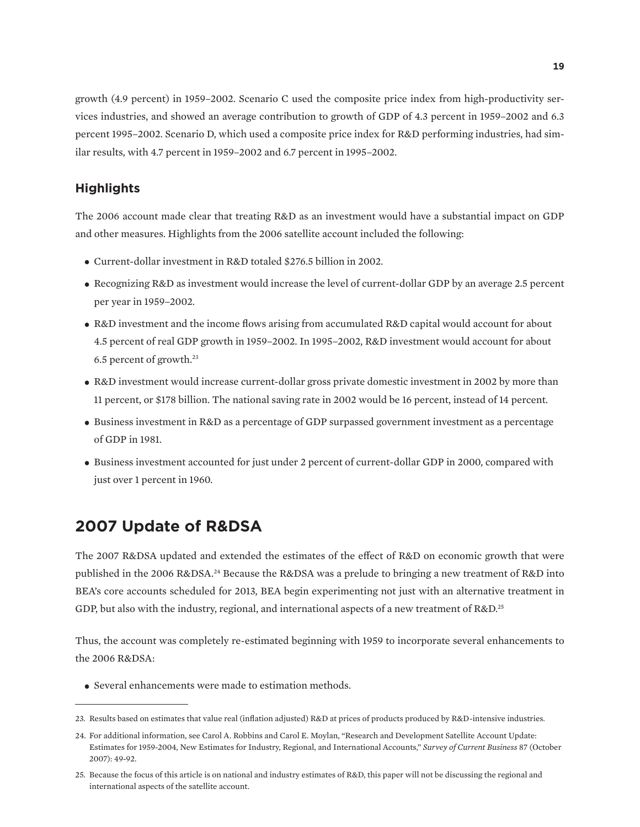growth (4.9 percent) in 1959–2002. Scenario C used the composite price index from high-productivity services industries, and showed an average contribution to growth of GDP of 4.3 percent in 1959–2002 and 6.3 percent 1995–2002. Scenario D, which used a composite price index for R&D performing industries, had similar results, with 4.7 percent in 1959–2002 and 6.7 percent in 1995–2002.

### **Highlights**

The 2006 account made clear that treating R&D as an investment would have a substantial impact on GDP and other measures. Highlights from the 2006 satellite account included the following:

- Current-dollar investment in R&D totaled \$276.5 billion in 2002.
- Recognizing R&D as investment would increase the level of current-dollar GDP by an average 2.5 percent per year in 1959–2002.
- R&D investment and the income flows arising from accumulated R&D capital would account for about 4.5 percent of real GDP growth in 1959–2002. In 1995–2002, R&D investment would account for about 6.5 percent of growth.23
- R&D investment would increase current-dollar gross private domestic investment in 2002 by more than 11 percent, or \$178 billion. The national saving rate in 2002 would be 16 percent, instead of 14 percent.
- Business investment in R&D as a percentage of GDP surpassed government investment as a percentage of GDP in 1981.
- Business investment accounted for just under 2 percent of current-dollar GDP in 2000, compared with just over 1 percent in 1960.

# **2007 Update of R&DSA**

The 2007 R&DSA updated and extended the estimates of the effect of R&D on economic growth that were published in the 2006 R&DSA.24 Because the R&DSA was a prelude to bringing a new treatment of R&D into BEA's core accounts scheduled for 2013, BEA begin experimenting not just with an alternative treatment in GDP, but also with the industry, regional, and international aspects of a new treatment of R&D.<sup>25</sup>

Thus, the account was completely re-estimated beginning with 1959 to incorporate several enhancements to the 2006 R&DSA:

**•** Several enhancements were made to estimation methods.

<sup>23.</sup> Results based on estimates that value real (inflation adjusted) R&D at prices of products produced by R&D-intensive industries.

<sup>24.</sup> For additional information, see Carol A. Robbins and Carol E. Moylan, "Research and Development Satellite Account Update: Estimates for 1959-2004, New Estimates for Industry, Regional, and International Accounts," *Survey of Current Business* 87 (October 2007): 49-92.

<sup>25.</sup> Because the focus of this article is on national and industry estimates of R&D, this paper will not be discussing the regional and international aspects of the satellite account.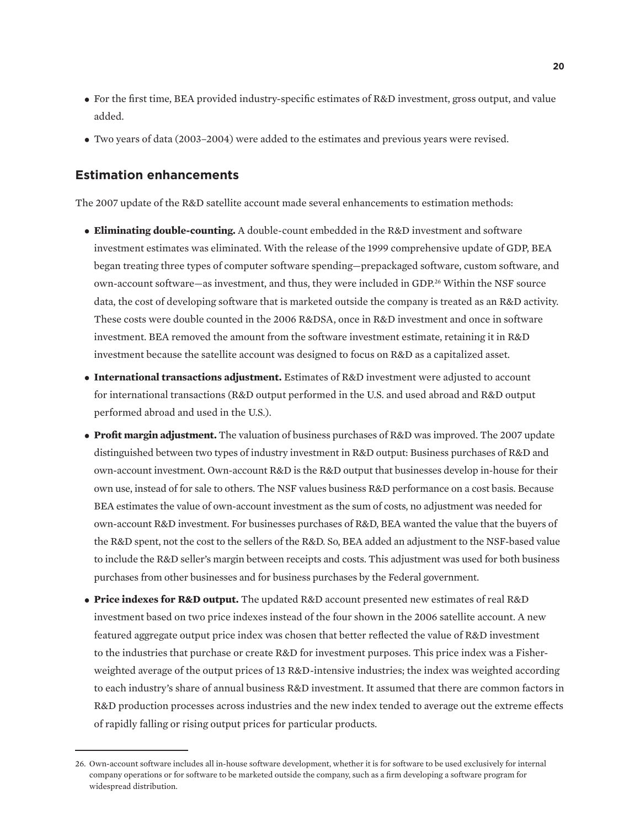- For the first time, BEA provided industry-specific estimates of R&D investment, gross output, and value added.
- Two years of data (2003–2004) were added to the estimates and previous years were revised.

### **Estimation enhancements**

The 2007 update of the R&D satellite account made several enhancements to estimation methods:

- **Eliminating double-counting.** A double-count embedded in the R&D investment and software investment estimates was eliminated. With the release of the 1999 comprehensive update of GDP, BEA began treating three types of computer software spending—prepackaged software, custom software, and own-account software—as investment, and thus, they were included in GDP.26 Within the NSF source data, the cost of developing software that is marketed outside the company is treated as an R&D activity. These costs were double counted in the 2006 R&DSA, once in R&D investment and once in software investment. BEA removed the amount from the software investment estimate, retaining it in R&D investment because the satellite account was designed to focus on R&D as a capitalized asset.
- **International transactions adjustment.** Estimates of R&D investment were adjusted to account for international transactions (R&D output performed in the U.S. and used abroad and R&D output performed abroad and used in the U.S.).
- **Profit margin adjustment.** The valuation of business purchases of R&D was improved. The 2007 update distinguished between two types of industry investment in R&D output: Business purchases of R&D and own-account investment. Own-account R&D is the R&D output that businesses develop in-house for their own use, instead of for sale to others. The NSF values business R&D performance on a cost basis. Because BEA estimates the value of own-account investment as the sum of costs, no adjustment was needed for own-account R&D investment. For businesses purchases of R&D, BEA wanted the value that the buyers of the R&D spent, not the cost to the sellers of the R&D. So, BEA added an adjustment to the NSF-based value to include the R&D seller's margin between receipts and costs. This adjustment was used for both business purchases from other businesses and for business purchases by the Federal government.
- **Price indexes for R&D output.** The updated R&D account presented new estimates of real R&D investment based on two price indexes instead of the four shown in the 2006 satellite account. A new featured aggregate output price index was chosen that better reflected the value of R&D investment to the industries that purchase or create R&D for investment purposes. This price index was a Fisherweighted average of the output prices of 13 R&D-intensive industries; the index was weighted according to each industry's share of annual business R&D investment. It assumed that there are common factors in R&D production processes across industries and the new index tended to average out the extreme effects of rapidly falling or rising output prices for particular products.

<sup>26.</sup> Own-account software includes all in-house software development, whether it is for software to be used exclusively for internal company operations or for software to be marketed outside the company, such as a firm developing a software program for widespread distribution.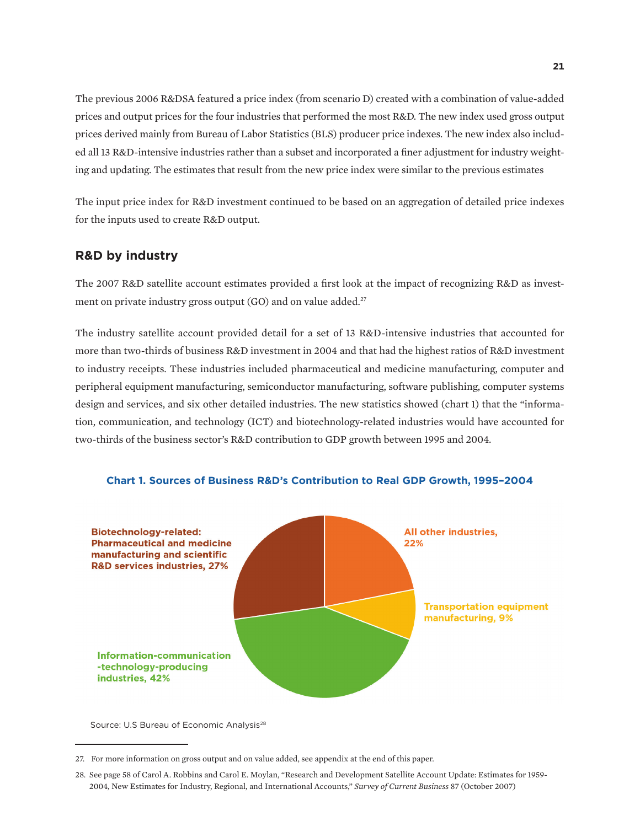The previous 2006 R&DSA featured a price index (from scenario D) created with a combination of value-added prices and output prices for the four industries that performed the most R&D. The new index used gross output prices derived mainly from Bureau of Labor Statistics (BLS) producer price indexes. The new index also included all 13 R&D-intensive industries rather than a subset and incorporated a finer adjustment for industry weighting and updating. The estimates that result from the new price index were similar to the previous estimates

The input price index for R&D investment continued to be based on an aggregation of detailed price indexes for the inputs used to create R&D output.

### **R&D by industry**

The 2007 R&D satellite account estimates provided a first look at the impact of recognizing R&D as investment on private industry gross output (GO) and on value added.<sup>27</sup>

The industry satellite account provided detail for a set of 13 R&D-intensive industries that accounted for more than two-thirds of business R&D investment in 2004 and that had the highest ratios of R&D investment to industry receipts. These industries included pharmaceutical and medicine manufacturing, computer and peripheral equipment manufacturing, semiconductor manufacturing, software publishing, computer systems design and services, and six other detailed industries. The new statistics showed (chart 1) that the "information, communication, and technology (ICT) and biotechnology-related industries would have accounted for two-thirds of the business sector's R&D contribution to GDP growth between 1995 and 2004.



**Chart 1. Sources of Business R&D's Contribution to Real GDP Growth, 1995–2004**

Source: U.S Bureau of Economic Analysis<sup>28</sup>

<sup>27.</sup> For more information on gross output and on value added, see appendix at the end of this paper.

<sup>28.</sup> See page 58 of Carol A. Robbins and Carol E. Moylan, "Research and Development Satellite Account Update: Estimates for 1959- 2004, New Estimates for Industry, Regional, and International Accounts," *Survey of Current Business* 87 (October 2007)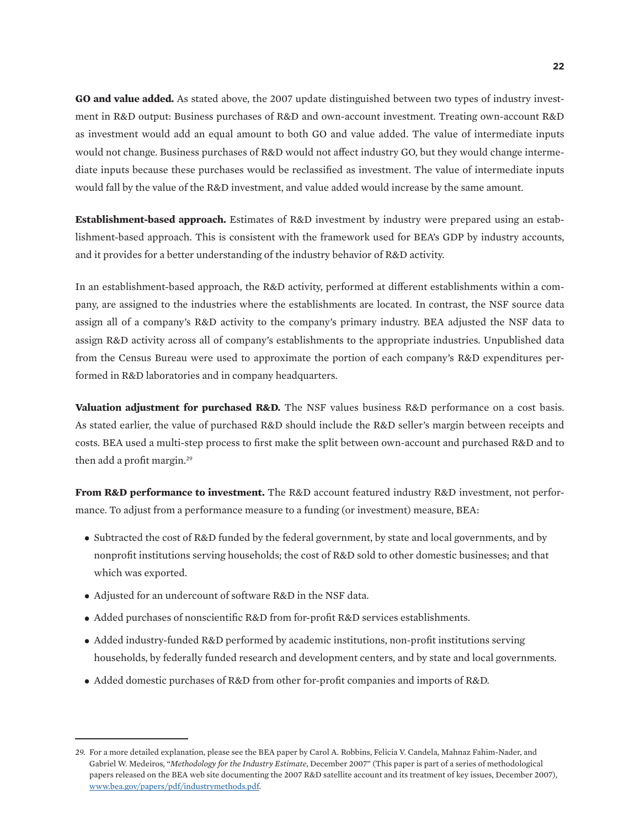**GO and value added.** As stated above, the 2007 update distinguished between two types of industry investment in R&D output: Business purchases of R&D and own-account investment. Treating own-account R&D as investment would add an equal amount to both GO and value added. The value of intermediate inputs would not change. Business purchases of R&D would not affect industry GO, but they would change intermediate inputs because these purchases would be reclassified as investment. The value of intermediate inputs would fall by the value of the R&D investment, and value added would increase by the same amount.

**Establishment-based approach.** Estimates of R&D investment by industry were prepared using an establishment-based approach. This is consistent with the framework used for BEA's GDP by industry accounts, and it provides for a better understanding of the industry behavior of R&D activity.

In an establishment-based approach, the R&D activity, performed at different establishments within a company, are assigned to the industries where the establishments are located. In contrast, the NSF source data assign all of a company's R&D activity to the company's primary industry. BEA adjusted the NSF data to assign R&D activity across all of company's establishments to the appropriate industries. Unpublished data from the Census Bureau were used to approximate the portion of each company's R&D expenditures performed in R&D laboratories and in company headquarters.

**Valuation adjustment for purchased R&D.** The NSF values business R&D performance on a cost basis. As stated earlier, the value of purchased R&D should include the R&D seller's margin between receipts and costs. BEA used a multi-step process to first make the split between own-account and purchased R&D and to then add a profit margin.<sup>29</sup>

**From R&D performance to investment.** The R&D account featured industry R&D investment, not performance. To adjust from a performance measure to a funding (or investment) measure, BEA:

- Subtracted the cost of R&D funded by the federal government, by state and local governments, and by nonprofit institutions serving households; the cost of R&D sold to other domestic businesses; and that which was exported.
- Adjusted for an undercount of software R&D in the NSF data.
- Added purchases of nonscientific R&D from for-profit R&D services establishments.
- Added industry-funded R&D performed by academic institutions, non-profit institutions serving households, by federally funded research and development centers, and by state and local governments.
- Added domestic purchases of R&D from other for-profit companies and imports of R&D.

<sup>29.</sup> For a more detailed explanation, please see the BEA paper by Carol A. Robbins, Felicia V. Candela, Mahnaz Fahim-Nader, and Gabriel W. Medeiros, "*Methodology for the Industry Estimate*, December 2007" (This paper is part of a series of methodological papers released on the BEA web site documenting the 2007 R&D satellite account and its treatment of key issues, December 2007), [www.bea.gov/papers/pdf/industrymethods.pdf.](http://www.bea.gov/papers/pdf/industrymethods.pdf)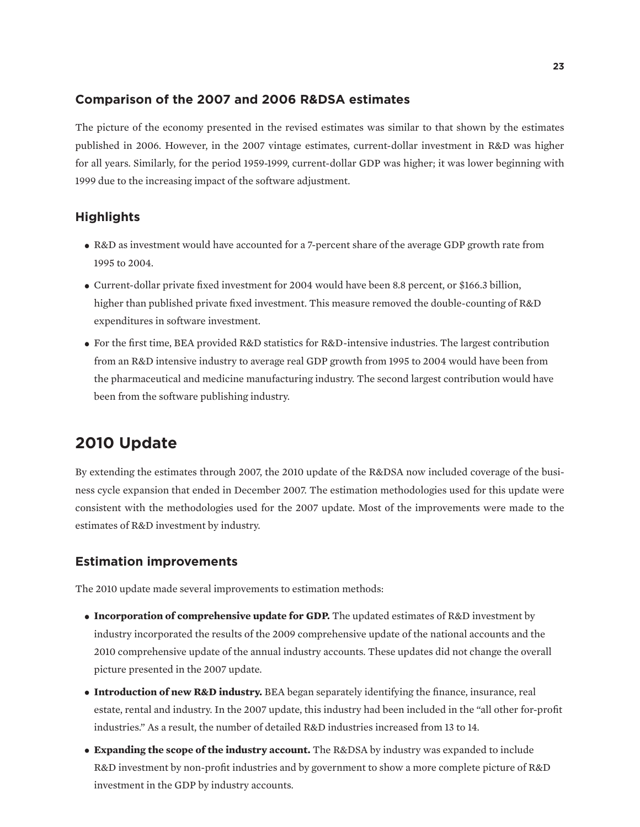#### **Comparison of the 2007 and 2006 R&DSA estimates**

The picture of the economy presented in the revised estimates was similar to that shown by the estimates published in 2006. However, in the 2007 vintage estimates, current-dollar investment in R&D was higher for all years. Similarly, for the period 1959-1999, current-dollar GDP was higher; it was lower beginning with 1999 due to the increasing impact of the software adjustment.

### **Highlights**

- R&D as investment would have accounted for a 7-percent share of the average GDP growth rate from 1995 to 2004.
- Current-dollar private fixed investment for 2004 would have been 8.8 percent, or \$166.3 billion, higher than published private fixed investment. This measure removed the double-counting of R&D expenditures in software investment.
- For the first time, BEA provided R&D statistics for R&D-intensive industries. The largest contribution from an R&D intensive industry to average real GDP growth from 1995 to 2004 would have been from the pharmaceutical and medicine manufacturing industry. The second largest contribution would have been from the software publishing industry.

# **2010 Update**

By extending the estimates through 2007, the 2010 update of the R&DSA now included coverage of the business cycle expansion that ended in December 2007. The estimation methodologies used for this update were consistent with the methodologies used for the 2007 update. Most of the improvements were made to the estimates of R&D investment by industry.

#### **Estimation improvements**

The 2010 update made several improvements to estimation methods:

- **Incorporation of comprehensive update for GDP.** The updated estimates of R&D investment by industry incorporated the results of the 2009 comprehensive update of the national accounts and the 2010 comprehensive update of the annual industry accounts. These updates did not change the overall picture presented in the 2007 update.
- **Introduction of new R&D industry.** BEA began separately identifying the finance, insurance, real estate, rental and industry. In the 2007 update, this industry had been included in the "all other for-profit industries." As a result, the number of detailed R&D industries increased from 13 to 14.
- **Expanding the scope of the industry account.** The R&DSA by industry was expanded to include R&D investment by non-profit industries and by government to show a more complete picture of R&D investment in the GDP by industry accounts.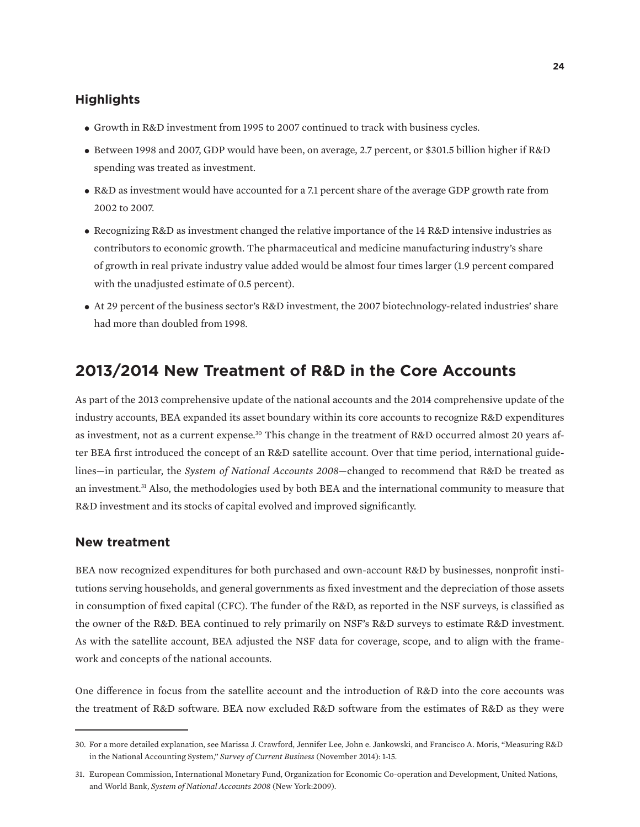### **Highlights**

- Growth in R&D investment from 1995 to 2007 continued to track with business cycles.
- Between 1998 and 2007, GDP would have been, on average, 2.7 percent, or \$301.5 billion higher if R&D spending was treated as investment.
- R&D as investment would have accounted for a 7.1 percent share of the average GDP growth rate from 2002 to 2007.
- Recognizing R&D as investment changed the relative importance of the 14 R&D intensive industries as contributors to economic growth. The pharmaceutical and medicine manufacturing industry's share of growth in real private industry value added would be almost four times larger (1.9 percent compared with the unadjusted estimate of 0.5 percent).
- At 29 percent of the business sector's R&D investment, the 2007 biotechnology-related industries' share had more than doubled from 1998.

# **2013/2014 New Treatment of R&D in the Core Accounts**

As part of the 2013 comprehensive update of the national accounts and the 2014 comprehensive update of the industry accounts, BEA expanded its asset boundary within its core accounts to recognize R&D expenditures as investment, not as a current expense.30 This change in the treatment of R&D occurred almost 20 years after BEA first introduced the concept of an R&D satellite account. Over that time period, international guidelines—in particular, the *System of National Accounts 2008*—changed to recommend that R&D be treated as an investment.<sup>31</sup> Also, the methodologies used by both BEA and the international community to measure that R&D investment and its stocks of capital evolved and improved significantly.

#### **New treatment**

BEA now recognized expenditures for both purchased and own-account R&D by businesses, nonprofit institutions serving households, and general governments as fixed investment and the depreciation of those assets in consumption of fixed capital (CFC). The funder of the R&D, as reported in the NSF surveys, is classified as the owner of the R&D. BEA continued to rely primarily on NSF's R&D surveys to estimate R&D investment. As with the satellite account, BEA adjusted the NSF data for coverage, scope, and to align with the framework and concepts of the national accounts.

One difference in focus from the satellite account and the introduction of R&D into the core accounts was the treatment of R&D software. BEA now excluded R&D software from the estimates of R&D as they were

<sup>30.</sup> For a more detailed explanation, see Marissa J. Crawford, Jennifer Lee, John e. Jankowski, and Francisco A. Moris, "Measuring R&D in the National Accounting System," *Survey of Current Business* (November 2014): 1-15.

<sup>31.</sup> European Commission, International Monetary Fund, Organization for Economic Co-operation and Development, United Nations, and World Bank, *System of National Accounts 2008* (New York:2009).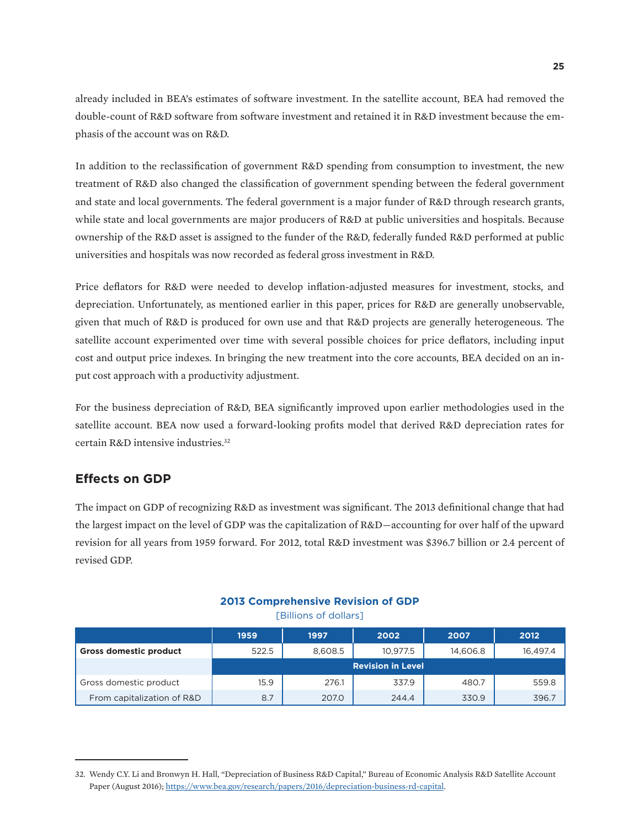already included in BEA's estimates of software investment. In the satellite account, BEA had removed the double-count of R&D software from software investment and retained it in R&D investment because the emphasis of the account was on R&D.

In addition to the reclassification of government R&D spending from consumption to investment, the new treatment of R&D also changed the classification of government spending between the federal government and state and local governments. The federal government is a major funder of R&D through research grants, while state and local governments are major producers of R&D at public universities and hospitals. Because ownership of the R&D asset is assigned to the funder of the R&D, federally funded R&D performed at public universities and hospitals was now recorded as federal gross investment in R&D.

Price deflators for R&D were needed to develop inflation-adjusted measures for investment, stocks, and depreciation. Unfortunately, as mentioned earlier in this paper, prices for R&D are generally unobservable, given that much of R&D is produced for own use and that R&D projects are generally heterogeneous. The satellite account experimented over time with several possible choices for price deflators, including input cost and output price indexes. In bringing the new treatment into the core accounts, BEA decided on an input cost approach with a productivity adjustment.

For the business depreciation of R&D, BEA significantly improved upon earlier methodologies used in the satellite account. BEA now used a forward-looking profits model that derived R&D depreciation rates for certain R&D intensive industries.32

### **Effects on GDP**

The impact on GDP of recognizing R&D as investment was significant. The 2013 definitional change that had the largest impact on the level of GDP was the capitalization of R&D—accounting for over half of the upward revision for all years from 1959 forward. For 2012, total R&D investment was \$396.7 billion or 2.4 percent of revised GDP.

#### **2013 Comprehensive Revision of GDP**

[Billions of dollars]

|                               | 1959                     | 1997    | 2002     | 2007     | 2012     |
|-------------------------------|--------------------------|---------|----------|----------|----------|
| <b>Gross domestic product</b> | 522.5                    | 8,608.5 | 10.977.5 | 14,606.8 | 16,497.4 |
|                               | <b>Revision in Level</b> |         |          |          |          |
| Gross domestic product        | 15.9                     | 276.1   | 337.9    | 480.7    | 559.8    |
| From capitalization of R&D    | 8.7                      | 207.0   | 244.4    | 330.9    | 396.7    |

<sup>32.</sup> Wendy C.Y. Li and Bronwyn H. Hall, "Depreciation of Business R&D Capital," Bureau of Economic Analysis R&D Satellite Account Paper (August 2016); [https://www.bea.gov/research/papers/2016/depreciation-business-rd-capital.](https://www.bea.gov/research/papers/2016/depreciation-business-rd-capital)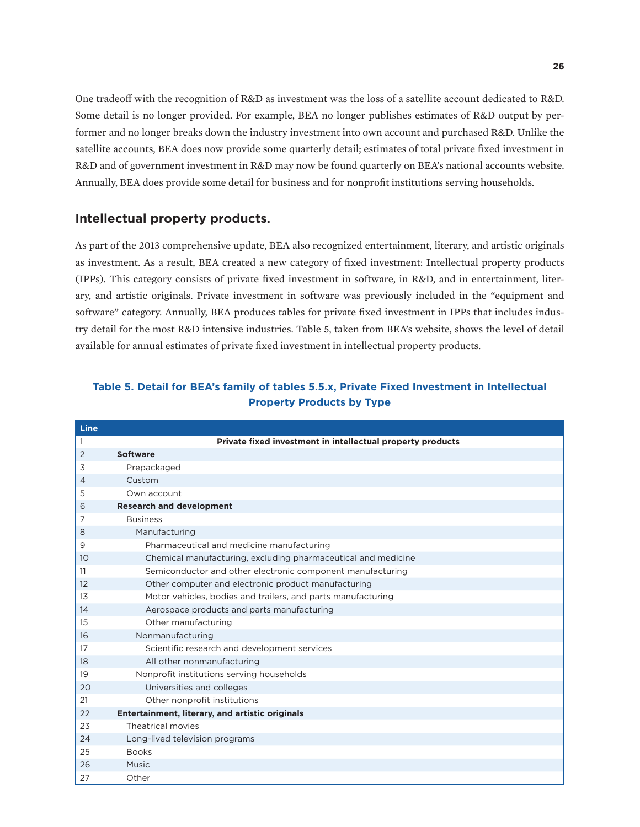One tradeoff with the recognition of R&D as investment was the loss of a satellite account dedicated to R&D. Some detail is no longer provided. For example, BEA no longer publishes estimates of R&D output by performer and no longer breaks down the industry investment into own account and purchased R&D. Unlike the satellite accounts, BEA does now provide some quarterly detail; estimates of total private fixed investment in R&D and of government investment in R&D may now be found quarterly on BEA's national accounts website. Annually, BEA does provide some detail for business and for nonprofit institutions serving households.

#### **Intellectual property products.**

As part of the 2013 comprehensive update, BEA also recognized entertainment, literary, and artistic originals as investment. As a result, BEA created a new category of fixed investment: Intellectual property products (IPPs). This category consists of private fixed investment in software, in R&D, and in entertainment, literary, and artistic originals. Private investment in software was previously included in the "equipment and software" category. Annually, BEA produces tables for private fixed investment in IPPs that includes industry detail for the most R&D intensive industries. Table 5, taken from BEA's website, shows the level of detail available for annual estimates of private fixed investment in intellectual property products.

| Line           |                                                               |
|----------------|---------------------------------------------------------------|
| 1              | Private fixed investment in intellectual property products    |
| $\overline{2}$ | <b>Software</b>                                               |
| 3              | Prepackaged                                                   |
| $\overline{4}$ | Custom                                                        |
| 5              | Own account                                                   |
| 6              | <b>Research and development</b>                               |
| 7              | <b>Business</b>                                               |
| 8              | Manufacturing                                                 |
| 9              | Pharmaceutical and medicine manufacturing                     |
| 10             | Chemical manufacturing, excluding pharmaceutical and medicine |
| 11             | Semiconductor and other electronic component manufacturing    |
| 12             | Other computer and electronic product manufacturing           |
| 13             | Motor vehicles, bodies and trailers, and parts manufacturing  |
| 14             | Aerospace products and parts manufacturing                    |
| 15             | Other manufacturing                                           |
| 16             | Nonmanufacturing                                              |
| 17             | Scientific research and development services                  |
| 18             | All other nonmanufacturing                                    |
| 19             | Nonprofit institutions serving households                     |
| 20             | Universities and colleges                                     |
| 21             | Other nonprofit institutions                                  |
| 22             | Entertainment, literary, and artistic originals               |
| 23             | Theatrical movies                                             |
| 24             | Long-lived television programs                                |
| 25             | <b>Books</b>                                                  |
| 26             | Music                                                         |
| 27             | Other                                                         |

### **Table 5. Detail for BEA's family of tables 5.5.x, Private Fixed Investment in Intellectual Property Products by Type**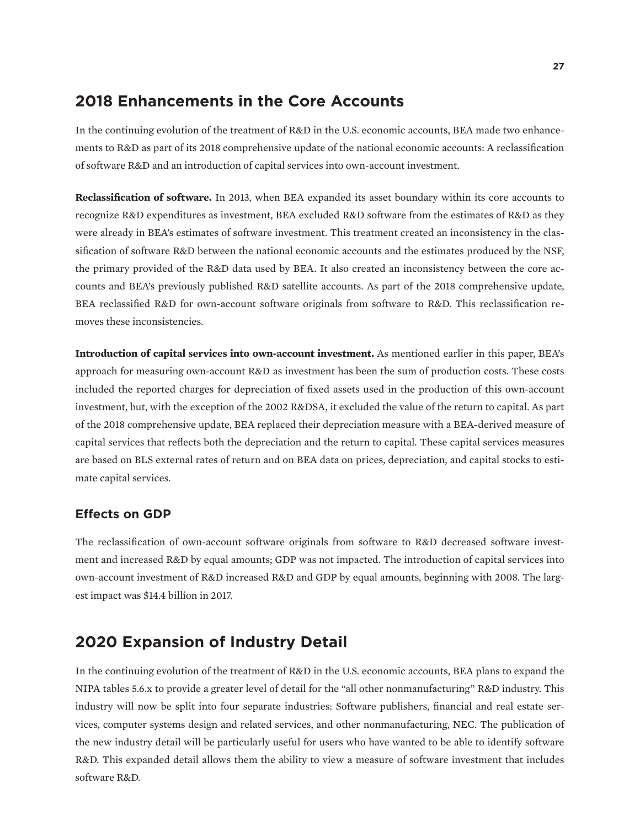# **2018 Enhancements in the Core Accounts**

In the continuing evolution of the treatment of R&D in the U.S. economic accounts, BEA made two enhancements to R&D as part of its 2018 comprehensive update of the national economic accounts: A reclassification of software R&D and an introduction of capital services into own-account investment.

**Reclassification of software.** In 2013, when BEA expanded its asset boundary within its core accounts to recognize R&D expenditures as investment, BEA excluded R&D software from the estimates of R&D as they were already in BEA's estimates of software investment. This treatment created an inconsistency in the classification of software R&D between the national economic accounts and the estimates produced by the NSF, the primary provided of the R&D data used by BEA. It also created an inconsistency between the core accounts and BEA's previously published R&D satellite accounts. As part of the 2018 comprehensive update, BEA reclassified R&D for own-account software originals from software to R&D. This reclassification removes these inconsistencies.

**Introduction of capital services into own-account investment.** As mentioned earlier in this paper, BEA's approach for measuring own-account R&D as investment has been the sum of production costs. These costs included the reported charges for depreciation of fixed assets used in the production of this own-account investment, but, with the exception of the 2002 R&DSA, it excluded the value of the return to capital. As part of the 2018 comprehensive update, BEA replaced their depreciation measure with a BEA-derived measure of capital services that reflects both the depreciation and the return to capital. These capital services measures are based on BLS external rates of return and on BEA data on prices, depreciation, and capital stocks to estimate capital services.

### **Effects on GDP**

The reclassification of own-account software originals from software to R&D decreased software investment and increased R&D by equal amounts; GDP was not impacted. The introduction of capital services into own-account investment of R&D increased R&D and GDP by equal amounts, beginning with 2008. The largest impact was \$14.4 billion in 2017.

# **2020 Expansion of Industry Detail**

In the continuing evolution of the treatment of R&D in the U.S. economic accounts, BEA plans to expand the NIPA tables 5.6.x to provide a greater level of detail for the "all other nonmanufacturing" R&D industry. This industry will now be split into four separate industries: Software publishers, financial and real estate services, computer systems design and related services, and other nonmanufacturing, NEC. The publication of the new industry detail will be particularly useful for users who have wanted to be able to identify software R&D. This expanded detail allows them the ability to view a measure of software investment that includes software R&D.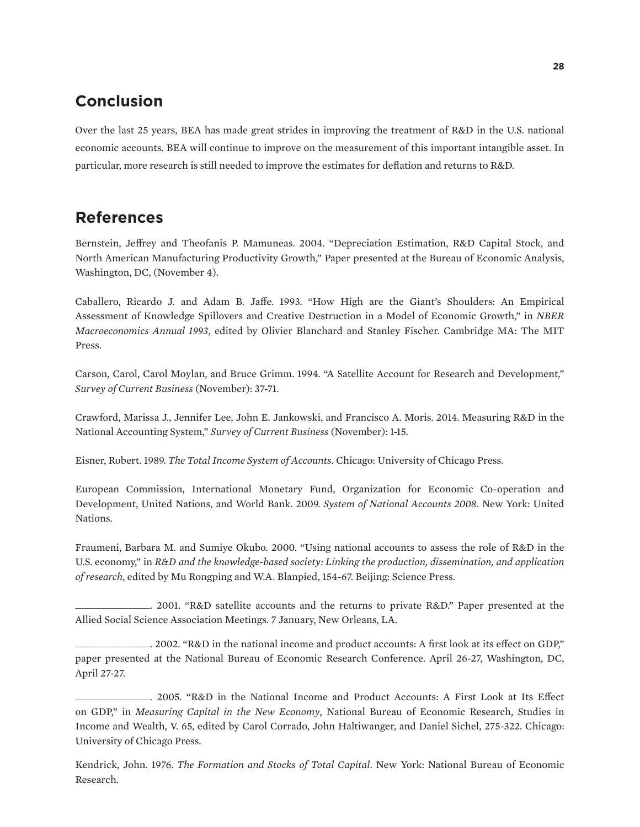# **Conclusion**

Over the last 25 years, BEA has made great strides in improving the treatment of R&D in the U.S. national economic accounts. BEA will continue to improve on the measurement of this important intangible asset. In particular, more research is still needed to improve the estimates for deflation and returns to R&D.

# **References**

Bernstein, Jeffrey and Theofanis P. Mamuneas. 2004. "Depreciation Estimation, R&D Capital Stock, and North American Manufacturing Productivity Growth," Paper presented at the Bureau of Economic Analysis, Washington, DC, (November 4).

Caballero, Ricardo J. and Adam B. Jaffe. 1993. "How High are the Giant's Shoulders: An Empirical Assessment of Knowledge Spillovers and Creative Destruction in a Model of Economic Growth," in *NBER Macroeconomics Annual 1993*, edited by Olivier Blanchard and Stanley Fischer. Cambridge MA: The MIT Press.

Carson, Carol, Carol Moylan, and Bruce Grimm. 1994. "A Satellite Account for Research and Development," *Survey of Current Business* (November): 37-71.

Crawford, Marissa J., Jennifer Lee, John E. Jankowski, and Francisco A. Moris. 2014. Measuring R&D in the National Accounting System," *Survey of Current Business* (November): 1-15.

Eisner, Robert. 1989. *The Total Income System of Accounts*. Chicago: University of Chicago Press.

European Commission, International Monetary Fund, Organization for Economic Co-operation and Development, United Nations, and World Bank. 2009. *System of National Accounts 2008*. New York: United Nations.

Fraumeni, Barbara M. and Sumiye Okubo. 2000. "Using national accounts to assess the role of R&D in the U.S. economy," in *R&D and the knowledge-based society: Linking the production, dissemination, and application of research*, edited by Mu Rongping and W.A. Blanpied, 154-67. Beijing: Science Press.

\_\_\_\_\_\_\_\_\_\_\_\_\_\_\_\_\_. 2001. "R&D satellite accounts and the returns to private R&D." Paper presented at the Allied Social Science Association Meetings. 7 January, New Orleans, LA.

\_\_\_\_\_\_\_\_\_\_\_\_\_\_\_\_\_. 2002. "R&D in the national income and product accounts: A first look at its effect on GDP," paper presented at the National Bureau of Economic Research Conference. April 26-27, Washington, DC, April 27-27.

\_\_\_\_\_\_\_\_\_\_\_\_\_\_\_\_\_. 2005. "R&D in the National Income and Product Accounts: A First Look at Its Effect on GDP," in *Measuring Capital in the New Economy*, National Bureau of Economic Research, Studies in Income and Wealth, V. 65, edited by Carol Corrado, John Haltiwanger, and Daniel Sichel, 275-322. Chicago: University of Chicago Press.

Kendrick, John. 1976. *The Formation and Stocks of Total Capital*. New York: National Bureau of Economic Research.